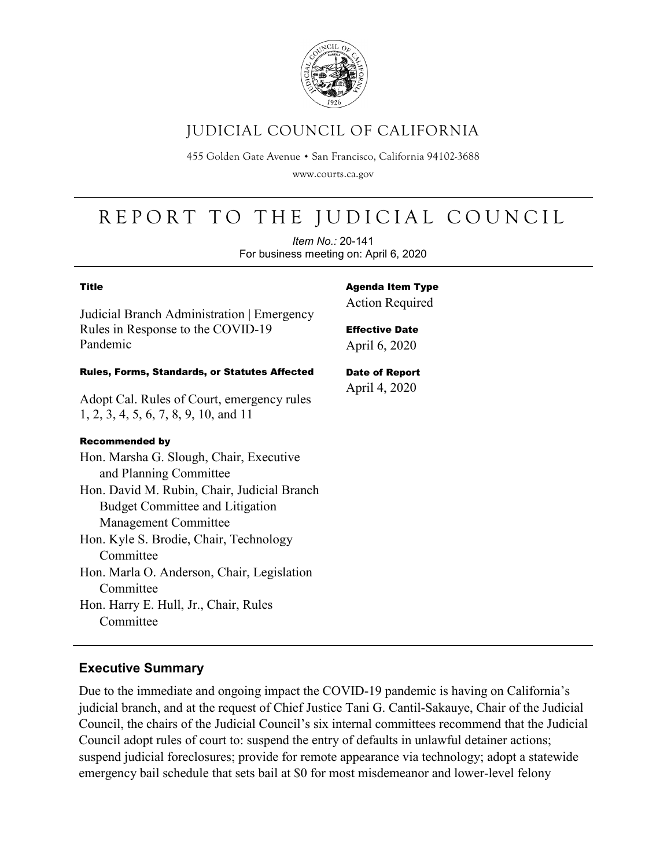

# JUDICIAL COUNCIL OF CALIFORNIA

455 Golden Gate Avenue · San Francisco, California 94102-3688

www.courts.ca.gov

# REPORT TO THE JUDICIAL COUNCIL

*Item No.:* 20-141 For business meeting on: April 6, 2020

#### Title

Judicial Branch Administration | Emergency Rules in Response to the COVID-19 Pandemic

#### Rules, Forms, Standards, or Statutes Affected

Adopt Cal. Rules of Court, emergency rules 1, 2, 3, 4, 5, 6, 7, 8, 9, 10, and 11

#### Recommended by

Hon. Marsha G. Slough, Chair, Executive and Planning Committee Hon. David M. Rubin, Chair, Judicial Branch Budget Committee and Litigation Management Committee Hon. Kyle S. Brodie, Chair, Technology Committee Hon. Marla O. Anderson, Chair, Legislation Committee Hon. Harry E. Hull, Jr., Chair, Rules Committee

Agenda Item Type Action Required

Effective Date April 6, 2020

Date of Report April 4, 2020

# **Executive Summary**

Due to the immediate and ongoing impact the COVID-19 pandemic is having on California's judicial branch, and at the request of Chief Justice Tani G. Cantil-Sakauye, Chair of the Judicial Council, the chairs of the Judicial Council's six internal committees recommend that the Judicial Council adopt rules of court to: suspend the entry of defaults in unlawful detainer actions; suspend judicial foreclosures; provide for remote appearance via technology; adopt a statewide emergency bail schedule that sets bail at \$0 for most misdemeanor and lower-level felony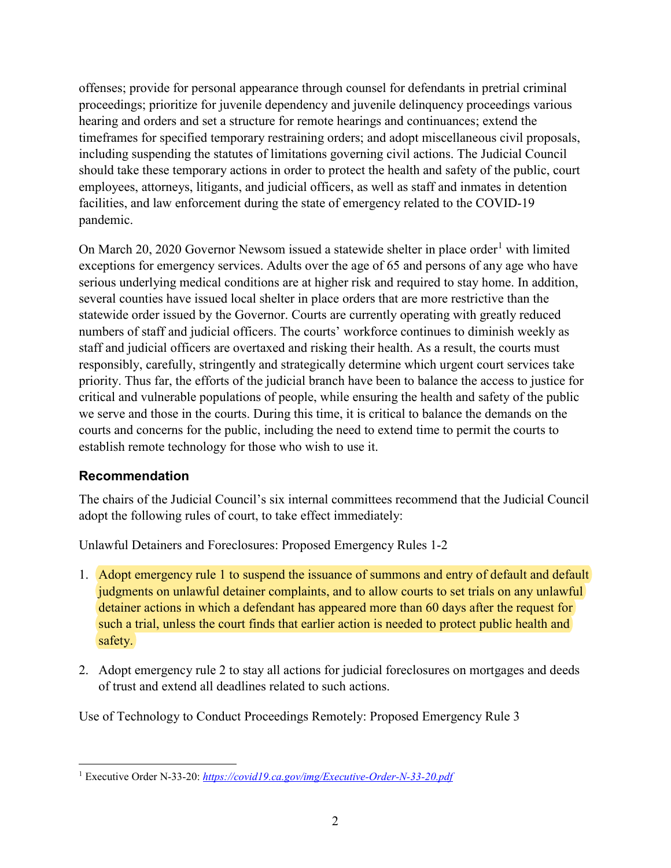offenses; provide for personal appearance through counsel for defendants in pretrial criminal proceedings; prioritize for juvenile dependency and juvenile delinquency proceedings various hearing and orders and set a structure for remote hearings and continuances; extend the timeframes for specified temporary restraining orders; and adopt miscellaneous civil proposals, including suspending the statutes of limitations governing civil actions. The Judicial Council should take these temporary actions in order to protect the health and safety of the public, court employees, attorneys, litigants, and judicial officers, as well as staff and inmates in detention facilities, and law enforcement during the state of emergency related to the COVID-19 pandemic.

On March 20, 2020 Governor Newsom issued a statewide shelter in place order<sup>[1](#page-1-0)</sup> with limited exceptions for emergency services. Adults over the age of 65 and persons of any age who have serious underlying medical conditions are at higher risk and required to stay home. In addition, several counties have issued local shelter in place orders that are more restrictive than the statewide order issued by the Governor. Courts are currently operating with greatly reduced numbers of staff and judicial officers. The courts' workforce continues to diminish weekly as staff and judicial officers are overtaxed and risking their health. As a result, the courts must responsibly, carefully, stringently and strategically determine which urgent court services take priority. Thus far, the efforts of the judicial branch have been to balance the access to justice for critical and vulnerable populations of people, while ensuring the health and safety of the public we serve and those in the courts. During this time, it is critical to balance the demands on the courts and concerns for the public, including the need to extend time to permit the courts to establish remote technology for those who wish to use it.

# **Recommendation**

The chairs of the Judicial Council's six internal committees recommend that the Judicial Council adopt the following rules of court, to take effect immediately:

Unlawful Detainers and Foreclosures: Proposed Emergency Rules 1-2

- 1. Adopt emergency rule 1 to suspend the issuance of summons and entry of default and default judgments on unlawful detainer complaints, and to allow courts to set trials on any unlawful detainer actions in which a defendant has appeared more than 60 days after the request for such a trial, unless the court finds that earlier action is needed to protect public health and safety.
- 2. Adopt emergency rule 2 to stay all actions for judicial foreclosures on mortgages and deeds of trust and extend all deadlines related to such actions.

Use of Technology to Conduct Proceedings Remotely: Proposed Emergency Rule 3

<span id="page-1-0"></span> <sup>1</sup> Executive Order N-33-20: *<https://covid19.ca.gov/img/Executive-Order-N-33-20.pdf>*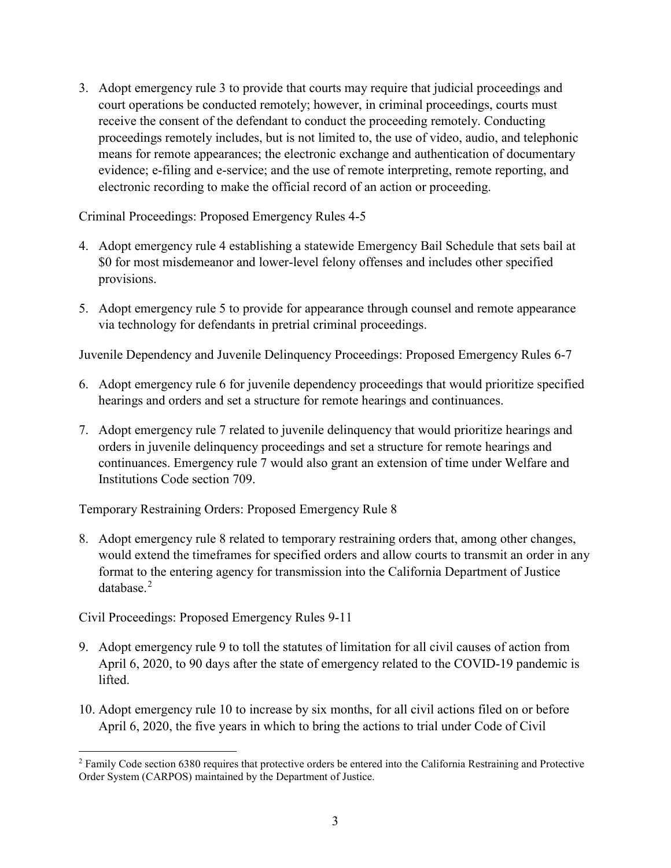3. Adopt emergency rule 3 to provide that courts may require that judicial proceedings and court operations be conducted remotely; however, in criminal proceedings, courts must receive the consent of the defendant to conduct the proceeding remotely. Conducting proceedings remotely includes, but is not limited to, the use of video, audio, and telephonic means for remote appearances; the electronic exchange and authentication of documentary evidence; e-filing and e-service; and the use of remote interpreting, remote reporting, and electronic recording to make the official record of an action or proceeding.

### Criminal Proceedings: Proposed Emergency Rules 4-5

- 4. Adopt emergency rule 4 establishing a statewide Emergency Bail Schedule that sets bail at \$0 for most misdemeanor and lower-level felony offenses and includes other specified provisions.
- 5. Adopt emergency rule 5 to provide for appearance through counsel and remote appearance via technology for defendants in pretrial criminal proceedings.

Juvenile Dependency and Juvenile Delinquency Proceedings: Proposed Emergency Rules 6-7

- 6. Adopt emergency rule 6 for juvenile dependency proceedings that would prioritize specified hearings and orders and set a structure for remote hearings and continuances.
- 7. Adopt emergency rule 7 related to juvenile delinquency that would prioritize hearings and orders in juvenile delinquency proceedings and set a structure for remote hearings and continuances. Emergency rule 7 would also grant an extension of time under Welfare and Institutions Code section 709.

Temporary Restraining Orders: Proposed Emergency Rule 8

8. Adopt emergency rule 8 related to temporary restraining orders that, among other changes, would extend the timeframes for specified orders and allow courts to transmit an order in any format to the entering agency for transmission into the California Department of Justice database. [2](#page-2-0)

Civil Proceedings: Proposed Emergency Rules 9-11

- 9. Adopt emergency rule 9 to toll the statutes of limitation for all civil causes of action from April 6, 2020, to 90 days after the state of emergency related to the COVID-19 pandemic is lifted.
- 10. Adopt emergency rule 10 to increase by six months, for all civil actions filed on or before April 6, 2020, the five years in which to bring the actions to trial under Code of Civil

<span id="page-2-0"></span><sup>2</sup> Family Code section 6380 requires that protective orders be entered into the California Restraining and Protective Order System (CARPOS) maintained by the Department of Justice.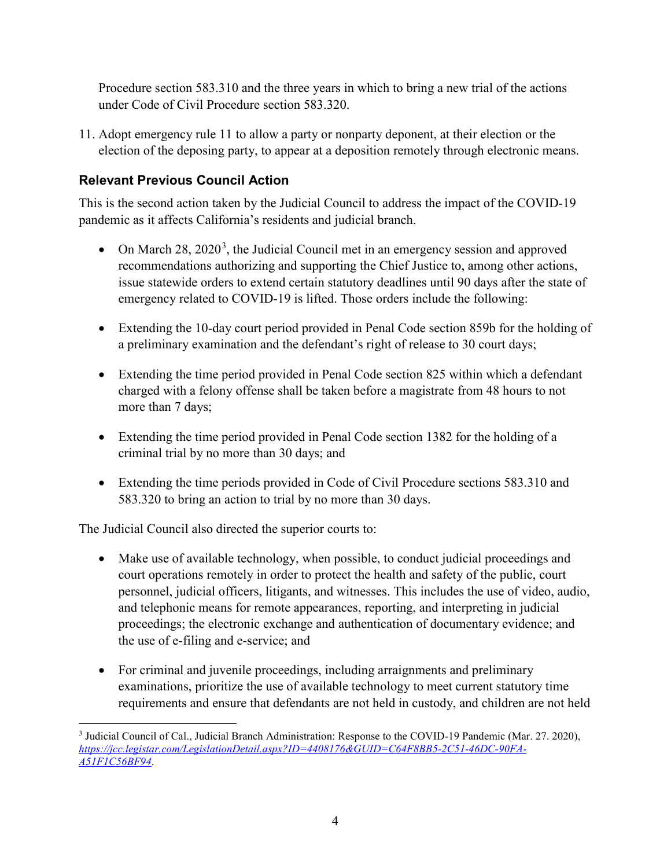Procedure section 583.310 and the three years in which to bring a new trial of the actions under Code of Civil Procedure section 583.320.

11. Adopt emergency rule 11 to allow a party or nonparty deponent, at their election or the election of the deposing party, to appear at a deposition remotely through electronic means.

# **Relevant Previous Council Action**

This is the second action taken by the Judicial Council to address the impact of the COVID-19 pandemic as it affects California's residents and judicial branch.

- $\bullet$  On March 28, 2020<sup>[3](#page-3-0)</sup>, the Judicial Council met in an emergency session and approved recommendations authorizing and supporting the Chief Justice to, among other actions, issue statewide orders to extend certain statutory deadlines until 90 days after the state of emergency related to COVID-19 is lifted. Those orders include the following:
- Extending the 10-day court period provided in Penal Code section 859b for the holding of a preliminary examination and the defendant's right of release to 30 court days;
- Extending the time period provided in Penal Code section 825 within which a defendant charged with a felony offense shall be taken before a magistrate from 48 hours to not more than 7 days;
- Extending the time period provided in Penal Code section 1382 for the holding of a criminal trial by no more than 30 days; and
- Extending the time periods provided in Code of Civil Procedure sections 583.310 and 583.320 to bring an action to trial by no more than 30 days.

The Judicial Council also directed the superior courts to:

- Make use of available technology, when possible, to conduct judicial proceedings and court operations remotely in order to protect the health and safety of the public, court personnel, judicial officers, litigants, and witnesses. This includes the use of video, audio, and telephonic means for remote appearances, reporting, and interpreting in judicial proceedings; the electronic exchange and authentication of documentary evidence; and the use of e-filing and e-service; and
- For criminal and juvenile proceedings, including arraignments and preliminary examinations, prioritize the use of available technology to meet current statutory time requirements and ensure that defendants are not held in custody, and children are not held

<span id="page-3-0"></span> <sup>3</sup> Judicial Council of Cal., Judicial Branch Administration: Response to the COVID-19 Pandemic (Mar. 27. 2020), *[https://jcc.legistar.com/LegislationDetail.aspx?ID=4408176&GUID=C64F8BB5-2C51-46DC-90FA-](https://jcc.legistar.com/LegislationDetail.aspx?ID=4408176&GUID=C64F8BB5-2C51-46DC-90FA-A51F1C56BF94)[A51F1C56BF94](https://jcc.legistar.com/LegislationDetail.aspx?ID=4408176&GUID=C64F8BB5-2C51-46DC-90FA-A51F1C56BF94)*.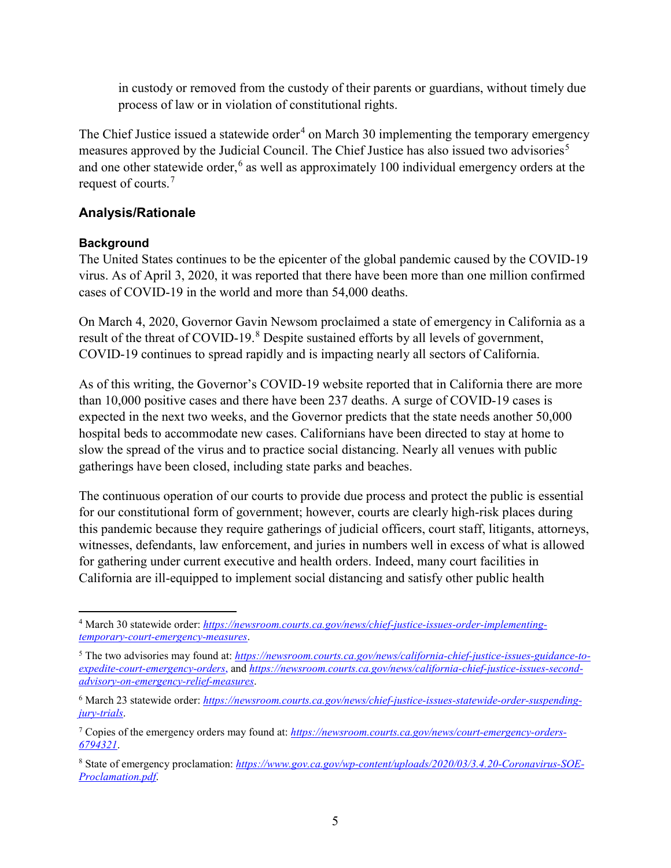in custody or removed from the custody of their parents or guardians, without timely due process of law or in violation of constitutional rights.

The Chief Justice issued a statewide order<sup>[4](#page-4-0)</sup> on March 30 implementing the temporary emergency measures approved by the Judicial Council. The Chief Justice has also issued two advisories<sup>[5](#page-4-1)</sup> and one other statewide order,<sup>[6](#page-4-2)</sup> as well as approximately 100 individual emergency orders at the request of courts.[7](#page-4-3)

# **Analysis/Rationale**

# **Background**

The United States continues to be the epicenter of the global pandemic caused by the COVID-19 virus. As of April 3, 2020, it was reported that there have been more than one million confirmed cases of COVID-19 in the world and more than 54,000 deaths.

On March 4, 2020, Governor Gavin Newsom proclaimed a state of emergency in California as a result of the threat of COVID-19.<sup>[8](#page-4-4)</sup> Despite sustained efforts by all levels of government, COVID-19 continues to spread rapidly and is impacting nearly all sectors of California.

As of this writing, the Governor's COVID-19 website reported that in California there are more than 10,000 positive cases and there have been 237 deaths. A surge of COVID-19 cases is expected in the next two weeks, and the Governor predicts that the state needs another 50,000 hospital beds to accommodate new cases. Californians have been directed to stay at home to slow the spread of the virus and to practice social distancing. Nearly all venues with public gatherings have been closed, including state parks and beaches.

The continuous operation of our courts to provide due process and protect the public is essential for our constitutional form of government; however, courts are clearly high-risk places during this pandemic because they require gatherings of judicial officers, court staff, litigants, attorneys, witnesses, defendants, law enforcement, and juries in numbers well in excess of what is allowed for gathering under current executive and health orders. Indeed, many court facilities in California are ill-equipped to implement social distancing and satisfy other public health

<span id="page-4-0"></span> <sup>4</sup> March 30 statewide order: *[https://newsroom.courts.ca.gov/news/chief-justice-issues-order-implementing](https://newsroom.courts.ca.gov/news/chief-justice-issues-order-implementing-temporary-court-emergency-measures)[temporary-court-emergency-measures](https://newsroom.courts.ca.gov/news/chief-justice-issues-order-implementing-temporary-court-emergency-measures)*.

<span id="page-4-1"></span><sup>5</sup> The two advisories may found at: *[https://newsroom.courts.ca.gov/news/california-chief-justice-issues-guidance-to](https://newsroom.courts.ca.gov/news/california-chief-justice-issues-guidance-to-expedite-court-emergency-orders)[expedite-court-emergency-orders](https://newsroom.courts.ca.gov/news/california-chief-justice-issues-guidance-to-expedite-court-emergency-orders)*, and *[https://newsroom.courts.ca.gov/news/california-chief-justice-issues-second](https://newsroom.courts.ca.gov/news/california-chief-justice-issues-second-advisory-on-emergency-relief-measures)[advisory-on-emergency-relief-measures](https://newsroom.courts.ca.gov/news/california-chief-justice-issues-second-advisory-on-emergency-relief-measures)*.

<span id="page-4-2"></span><sup>6</sup> March 23 statewide order: *[https://newsroom.courts.ca.gov/news/chief-justice-issues-statewide-order-suspending](https://newsroom.courts.ca.gov/news/chief-justice-issues-statewide-order-suspending-jury-trials)[jury-trials](https://newsroom.courts.ca.gov/news/chief-justice-issues-statewide-order-suspending-jury-trials)*.

<span id="page-4-3"></span><sup>7</sup> Copies of the emergency orders may found at: *[https://newsroom.courts.ca.gov/news/court-emergency-orders-](https://newsroom.courts.ca.gov/news/court-emergency-orders-6794321)[6794321](https://newsroom.courts.ca.gov/news/court-emergency-orders-6794321)*.

<span id="page-4-4"></span><sup>8</sup> State of emergency proclamation: *[https://www.gov.ca.gov/wp-content/uploads/2020/03/3.4.20-Coronavirus-SOE-](https://www.gov.ca.gov/wp-content/uploads/2020/03/3.4.20-Coronavirus-SOE-Proclamation.pdf)[Proclamation.pdf](https://www.gov.ca.gov/wp-content/uploads/2020/03/3.4.20-Coronavirus-SOE-Proclamation.pdf)*.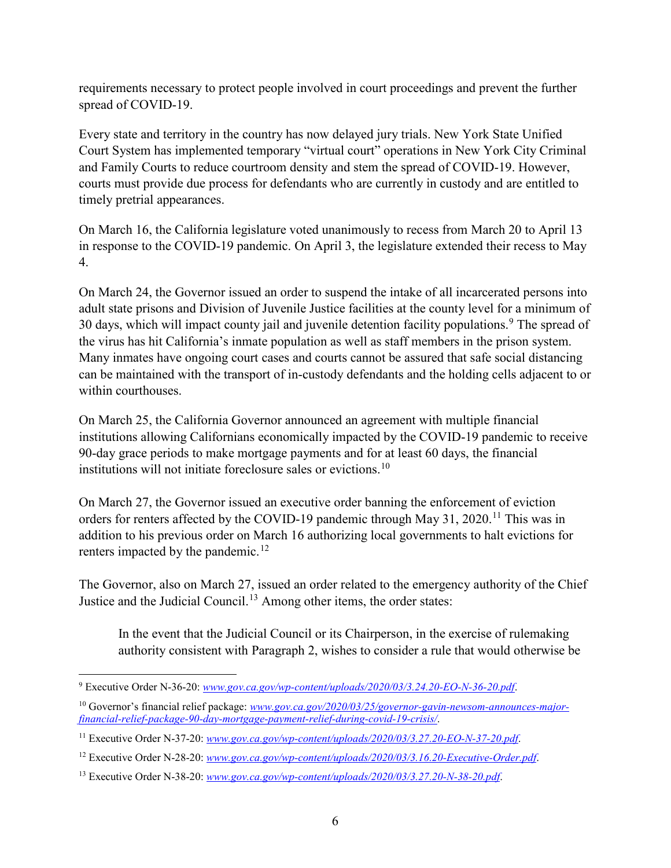requirements necessary to protect people involved in court proceedings and prevent the further spread of COVID-19.

Every state and territory in the country has now delayed jury trials. New York State Unified Court System has implemented temporary "virtual court" operations in New York City Criminal and Family Courts to reduce courtroom density and stem the spread of COVID-19. However, courts must provide due process for defendants who are currently in custody and are entitled to timely pretrial appearances.

On March 16, the California legislature voted unanimously to recess from March 20 to April 13 in response to the COVID-19 pandemic. On April 3, the legislature extended their recess to May 4.

On March 24, the Governor issued an order to suspend the intake of all incarcerated persons into adult state prisons and Division of Juvenile Justice facilities at the county level for a minimum of 30 days, which will impact county jail and juvenile detention facility populations.<sup>[9](#page-5-0)</sup> The spread of the virus has hit California's inmate population as well as staff members in the prison system. Many inmates have ongoing court cases and courts cannot be assured that safe social distancing can be maintained with the transport of in-custody defendants and the holding cells adjacent to or within courthouses.

On March 25, the California Governor announced an agreement with multiple financial institutions allowing Californians economically impacted by the COVID-19 pandemic to receive 90-day grace periods to make mortgage payments and for at least 60 days, the financial institutions will not initiate foreclosure sales or evictions. [10](#page-5-1)

On March 27, the Governor issued an executive order banning the enforcement of eviction orders for renters affected by the COVID-19 pandemic through May 31, 2020.<sup>[11](#page-5-2)</sup> This was in addition to his previous order on March 16 authorizing local governments to halt evictions for renters impacted by the pandemic.<sup>[12](#page-5-3)</sup>

The Governor, also on March 27, issued an order related to the emergency authority of the Chief Justice and the Judicial Council.<sup>[13](#page-5-4)</sup> Among other items, the order states:

In the event that the Judicial Council or its Chairperson, in the exercise of rulemaking authority consistent with Paragraph 2, wishes to consider a rule that would otherwise be

<span id="page-5-0"></span> <sup>9</sup> Executive Order N-36-20: *[www.gov.ca.gov/wp-content/uploads/2020/03/3.24.20-EO-N-36-20.pdf](https://www.gov.ca.gov/wp-content/uploads/2020/03/3.24.20-EO-N-36-20.pdf)*.

<span id="page-5-1"></span><sup>10</sup> Governor's financial relief package: *[www.gov.ca.gov/2020/03/25/governor-gavin-newsom-announces-major](https://www.gov.ca.gov/2020/03/25/governor-gavin-newsom-announces-major-financial-relief-package-90-day-mortgage-payment-relief-during-covid-19-crisis/)[financial-relief-package-90-day-mortgage-payment-relief-during-covid-19-crisis/](https://www.gov.ca.gov/2020/03/25/governor-gavin-newsom-announces-major-financial-relief-package-90-day-mortgage-payment-relief-during-covid-19-crisis/)*.

<span id="page-5-2"></span><sup>11</sup> Executive Order N-37-20: *[www.gov.ca.gov/wp-content/uploads/2020/03/3.27.20-EO-N-37-20.pdf](https://www.gov.ca.gov/wp-content/uploads/2020/03/3.27.20-EO-N-37-20.pdf)*.

<span id="page-5-3"></span><sup>12</sup> Executive Order N-28-20: *[www.gov.ca.gov/wp-content/uploads/2020/03/3.16.20-Executive-Order.pdf](https://www.gov.ca.gov/wp-content/uploads/2020/03/3.16.20-Executive-Order.pdf)*.

<span id="page-5-4"></span><sup>13</sup> Executive Order N-38-20: *[www.gov.ca.gov/wp-content/uploads/2020/03/3.27.20-N-38-20.pdf](https://www.gov.ca.gov/wp-content/uploads/2020/03/3.27.20-N-38-20.pdf)*.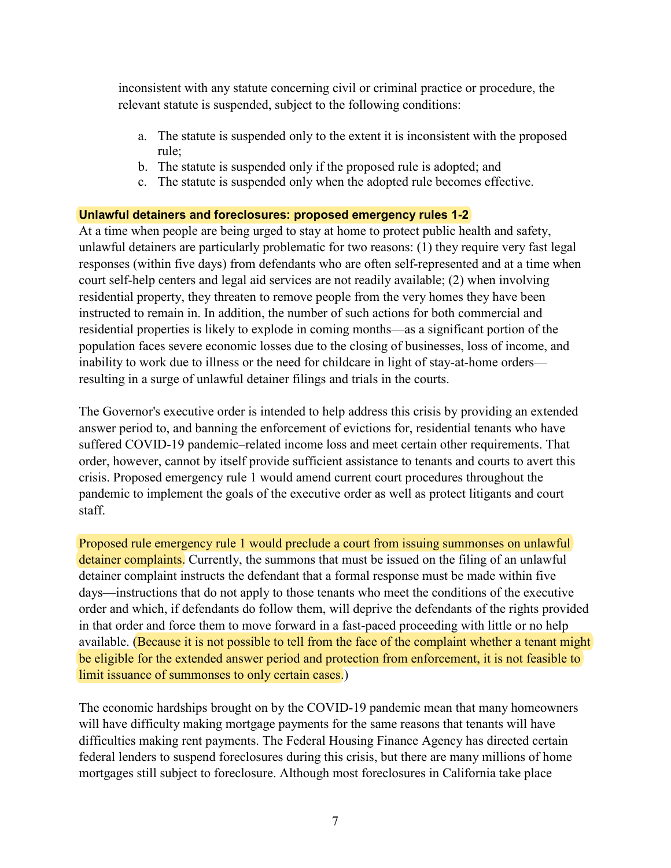inconsistent with any statute concerning civil or criminal practice or procedure, the relevant statute is suspended, subject to the following conditions:

- a. The statute is suspended only to the extent it is inconsistent with the proposed rule;
- b. The statute is suspended only if the proposed rule is adopted; and
- c. The statute is suspended only when the adopted rule becomes effective.

#### **Unlawful detainers and foreclosures: proposed emergency rules 1-2**

At a time when people are being urged to stay at home to protect public health and safety, unlawful detainers are particularly problematic for two reasons: (1) they require very fast legal responses (within five days) from defendants who are often self-represented and at a time when court self-help centers and legal aid services are not readily available; (2) when involving residential property, they threaten to remove people from the very homes they have been instructed to remain in. In addition, the number of such actions for both commercial and residential properties is likely to explode in coming months—as a significant portion of the population faces severe economic losses due to the closing of businesses, loss of income, and inability to work due to illness or the need for childcare in light of stay-at-home orders resulting in a surge of unlawful detainer filings and trials in the courts.

The Governor's executive order is intended to help address this crisis by providing an extended answer period to, and banning the enforcement of evictions for, residential tenants who have suffered COVID-19 pandemic–related income loss and meet certain other requirements. That order, however, cannot by itself provide sufficient assistance to tenants and courts to avert this crisis. Proposed emergency rule 1 would amend current court procedures throughout the pandemic to implement the goals of the executive order as well as protect litigants and court staff.

Proposed rule emergency rule 1 would preclude a court from issuing summonses on unlawful detainer complaints. Currently, the summons that must be issued on the filing of an unlawful detainer complaint instructs the defendant that a formal response must be made within five days—instructions that do not apply to those tenants who meet the conditions of the executive order and which, if defendants do follow them, will deprive the defendants of the rights provided in that order and force them to move forward in a fast-paced proceeding with little or no help available. (Because it is not possible to tell from the face of the complaint whether a tenant might be eligible for the extended answer period and protection from enforcement, it is not feasible to limit issuance of summonses to only certain cases.)

The economic hardships brought on by the COVID-19 pandemic mean that many homeowners will have difficulty making mortgage payments for the same reasons that tenants will have difficulties making rent payments. The Federal Housing Finance Agency has directed certain federal lenders to suspend foreclosures during this crisis, but there are many millions of home mortgages still subject to foreclosure. Although most foreclosures in California take place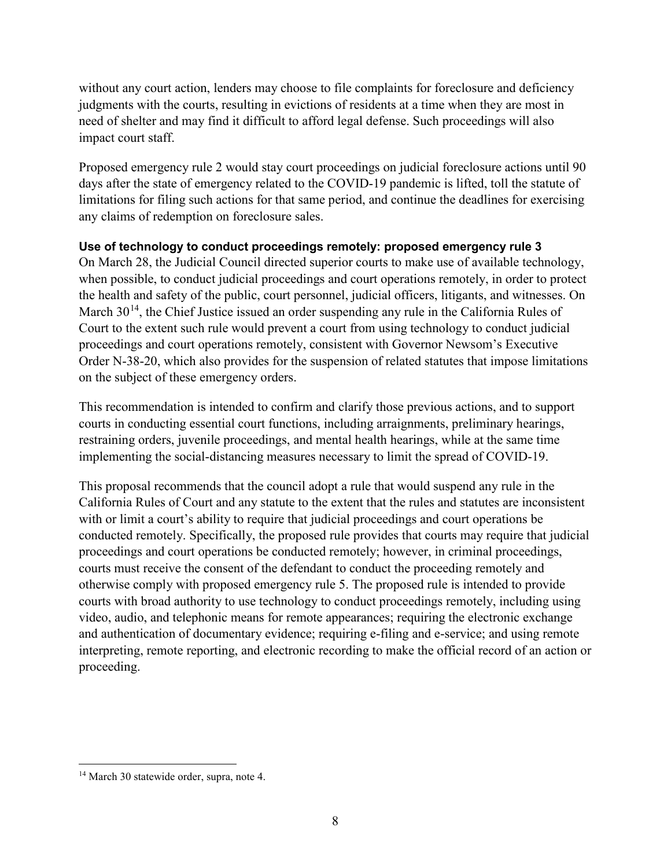without any court action, lenders may choose to file complaints for foreclosure and deficiency judgments with the courts, resulting in evictions of residents at a time when they are most in need of shelter and may find it difficult to afford legal defense. Such proceedings will also impact court staff.

Proposed emergency rule 2 would stay court proceedings on judicial foreclosure actions until 90 days after the state of emergency related to the COVID-19 pandemic is lifted, toll the statute of limitations for filing such actions for that same period, and continue the deadlines for exercising any claims of redemption on foreclosure sales.

# **Use of technology to conduct proceedings remotely: proposed emergency rule 3**

On March 28, the Judicial Council directed superior courts to make use of available technology, when possible, to conduct judicial proceedings and court operations remotely, in order to protect the health and safety of the public, court personnel, judicial officers, litigants, and witnesses. On March 30<sup>14</sup>, the Chief Justice issued an order suspending any rule in the California Rules of Court to the extent such rule would prevent a court from using technology to conduct judicial proceedings and court operations remotely, consistent with Governor Newsom's Executive Order N-38-20, which also provides for the suspension of related statutes that impose limitations on the subject of these emergency orders.

This recommendation is intended to confirm and clarify those previous actions, and to support courts in conducting essential court functions, including arraignments, preliminary hearings, restraining orders, juvenile proceedings, and mental health hearings, while at the same time implementing the social-distancing measures necessary to limit the spread of COVID-19.

This proposal recommends that the council adopt a rule that would suspend any rule in the California Rules of Court and any statute to the extent that the rules and statutes are inconsistent with or limit a court's ability to require that judicial proceedings and court operations be conducted remotely. Specifically, the proposed rule provides that courts may require that judicial proceedings and court operations be conducted remotely; however, in criminal proceedings, courts must receive the consent of the defendant to conduct the proceeding remotely and otherwise comply with proposed emergency rule 5. The proposed rule is intended to provide courts with broad authority to use technology to conduct proceedings remotely, including using video, audio, and telephonic means for remote appearances; requiring the electronic exchange and authentication of documentary evidence; requiring e-filing and e-service; and using remote interpreting, remote reporting, and electronic recording to make the official record of an action or proceeding.

<span id="page-7-0"></span><sup>&</sup>lt;sup>14</sup> March 30 statewide order, supra, note 4.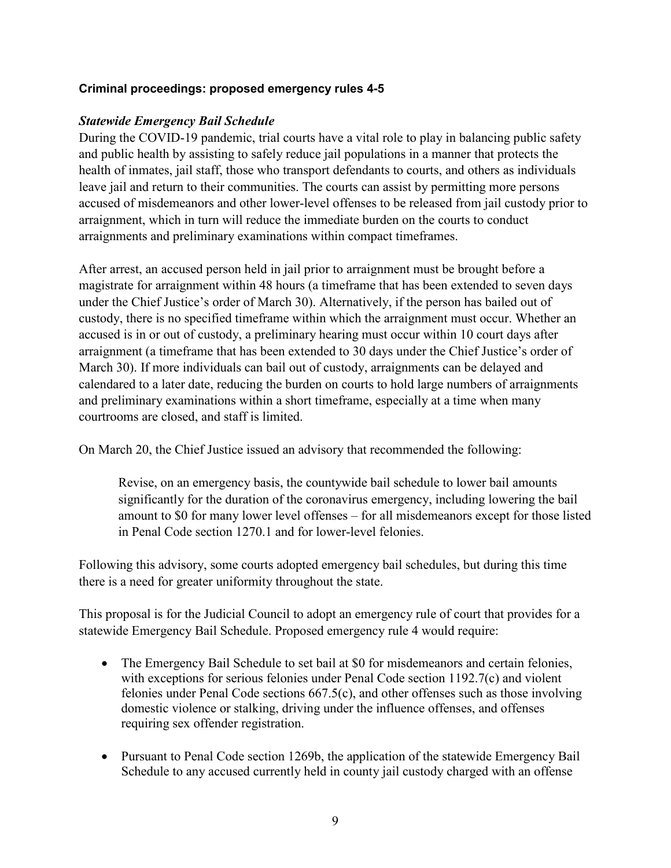## **Criminal proceedings: proposed emergency rules 4-5**

### *Statewide Emergency Bail Schedule*

During the COVID-19 pandemic, trial courts have a vital role to play in balancing public safety and public health by assisting to safely reduce jail populations in a manner that protects the health of inmates, jail staff, those who transport defendants to courts, and others as individuals leave jail and return to their communities. The courts can assist by permitting more persons accused of misdemeanors and other lower-level offenses to be released from jail custody prior to arraignment, which in turn will reduce the immediate burden on the courts to conduct arraignments and preliminary examinations within compact timeframes.

After arrest, an accused person held in jail prior to arraignment must be brought before a magistrate for arraignment within 48 hours (a timeframe that has been extended to seven days under the Chief Justice's order of March 30). Alternatively, if the person has bailed out of custody, there is no specified timeframe within which the arraignment must occur. Whether an accused is in or out of custody, a preliminary hearing must occur within 10 court days after arraignment (a timeframe that has been extended to 30 days under the Chief Justice's order of March 30). If more individuals can bail out of custody, arraignments can be delayed and calendared to a later date, reducing the burden on courts to hold large numbers of arraignments and preliminary examinations within a short timeframe, especially at a time when many courtrooms are closed, and staff is limited.

On March 20, the Chief Justice issued an advisory that recommended the following:

Revise, on an emergency basis, the countywide bail schedule to lower bail amounts significantly for the duration of the coronavirus emergency, including lowering the bail amount to \$0 for many lower level offenses – for all misdemeanors except for those listed in Penal Code section 1270.1 and for lower-level felonies.

Following this advisory, some courts adopted emergency bail schedules, but during this time there is a need for greater uniformity throughout the state.

This proposal is for the Judicial Council to adopt an emergency rule of court that provides for a statewide Emergency Bail Schedule. Proposed emergency rule 4 would require:

- The Emergency Bail Schedule to set bail at \$0 for misdemeanors and certain felonies, with exceptions for serious felonies under Penal Code section 1192.7(c) and violent felonies under Penal Code sections 667.5(c), and other offenses such as those involving domestic violence or stalking, driving under the influence offenses, and offenses requiring sex offender registration.
- Pursuant to Penal Code section 1269b, the application of the statewide Emergency Bail Schedule to any accused currently held in county jail custody charged with an offense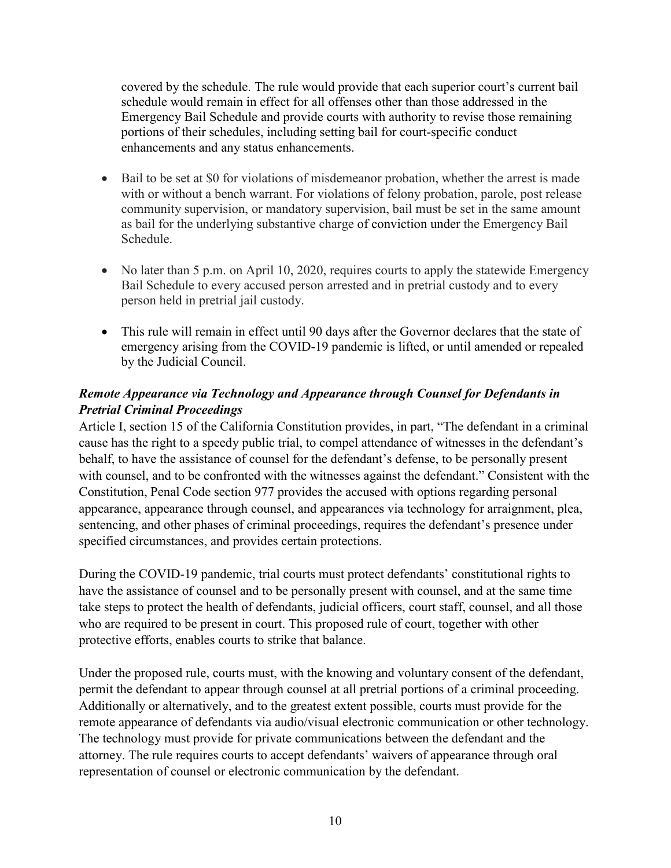covered by the schedule. The rule would provide that each superior court's current bail schedule would remain in effect for all offenses other than those addressed in the Emergency Bail Schedule and provide courts with authority to revise those remaining portions of their schedules, including setting bail for court-specific conduct enhancements and any status enhancements.

- Bail to be set at \$0 for violations of misdemeanor probation, whether the arrest is made with or without a bench warrant. For violations of felony probation, parole, post release community supervision, or mandatory supervision, bail must be set in the same amount as bail for the underlying substantive charge of conviction under the Emergency Bail Schedule.
- No later than 5 p.m. on April 10, 2020, requires courts to apply the statewide Emergency Bail Schedule to every accused person arrested and in pretrial custody and to every person held in pretrial jail custody.
- This rule will remain in effect until 90 days after the Governor declares that the state of emergency arising from the COVID-19 pandemic is lifted, or until amended or repealed by the Judicial Council.

# *Remote Appearance via Technology and Appearance through Counsel for Defendants in Pretrial Criminal Proceedings*

Article I, section 15 of the California Constitution provides, in part, "The defendant in a criminal cause has the right to a speedy public trial, to compel attendance of witnesses in the defendant's behalf, to have the assistance of counsel for the defendant's defense, to be personally present with counsel, and to be confronted with the witnesses against the defendant." Consistent with the Constitution, Penal Code section 977 provides the accused with options regarding personal appearance, appearance through counsel, and appearances via technology for arraignment, plea, sentencing, and other phases of criminal proceedings, requires the defendant's presence under specified circumstances, and provides certain protections.

During the COVID-19 pandemic, trial courts must protect defendants' constitutional rights to have the assistance of counsel and to be personally present with counsel, and at the same time take steps to protect the health of defendants, judicial officers, court staff, counsel, and all those who are required to be present in court. This proposed rule of court, together with other protective efforts, enables courts to strike that balance.

Under the proposed rule, courts must, with the knowing and voluntary consent of the defendant, permit the defendant to appear through counsel at all pretrial portions of a criminal proceeding. Additionally or alternatively, and to the greatest extent possible, courts must provide for the remote appearance of defendants via audio/visual electronic communication or other technology. The technology must provide for private communications between the defendant and the attorney. The rule requires courts to accept defendants' waivers of appearance through oral representation of counsel or electronic communication by the defendant.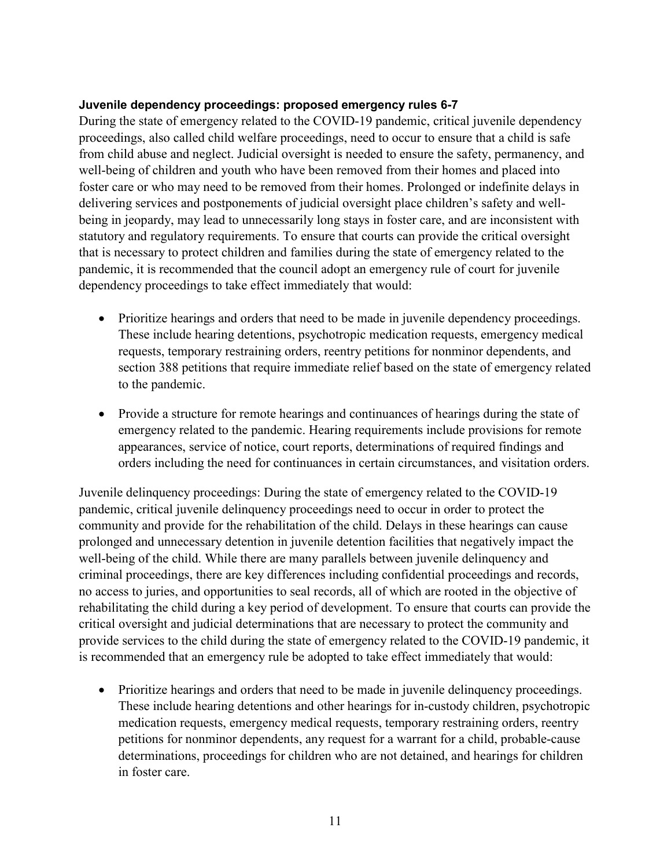#### **Juvenile dependency proceedings: proposed emergency rules 6-7**

During the state of emergency related to the COVID-19 pandemic, critical juvenile dependency proceedings, also called child welfare proceedings, need to occur to ensure that a child is safe from child abuse and neglect. Judicial oversight is needed to ensure the safety, permanency, and well-being of children and youth who have been removed from their homes and placed into foster care or who may need to be removed from their homes. Prolonged or indefinite delays in delivering services and postponements of judicial oversight place children's safety and wellbeing in jeopardy, may lead to unnecessarily long stays in foster care, and are inconsistent with statutory and regulatory requirements. To ensure that courts can provide the critical oversight that is necessary to protect children and families during the state of emergency related to the pandemic, it is recommended that the council adopt an emergency rule of court for juvenile dependency proceedings to take effect immediately that would:

- Prioritize hearings and orders that need to be made in juvenile dependency proceedings. These include hearing detentions, psychotropic medication requests, emergency medical requests, temporary restraining orders, reentry petitions for nonminor dependents, and section 388 petitions that require immediate relief based on the state of emergency related to the pandemic.
- Provide a structure for remote hearings and continuances of hearings during the state of emergency related to the pandemic. Hearing requirements include provisions for remote appearances, service of notice, court reports, determinations of required findings and orders including the need for continuances in certain circumstances, and visitation orders.

Juvenile delinquency proceedings: During the state of emergency related to the COVID-19 pandemic, critical juvenile delinquency proceedings need to occur in order to protect the community and provide for the rehabilitation of the child. Delays in these hearings can cause prolonged and unnecessary detention in juvenile detention facilities that negatively impact the well-being of the child. While there are many parallels between juvenile delinquency and criminal proceedings, there are key differences including confidential proceedings and records, no access to juries, and opportunities to seal records, all of which are rooted in the objective of rehabilitating the child during a key period of development. To ensure that courts can provide the critical oversight and judicial determinations that are necessary to protect the community and provide services to the child during the state of emergency related to the COVID-19 pandemic, it is recommended that an emergency rule be adopted to take effect immediately that would:

• Prioritize hearings and orders that need to be made in juvenile delinquency proceedings. These include hearing detentions and other hearings for in-custody children, psychotropic medication requests, emergency medical requests, temporary restraining orders, reentry petitions for nonminor dependents, any request for a warrant for a child, probable-cause determinations, proceedings for children who are not detained, and hearings for children in foster care.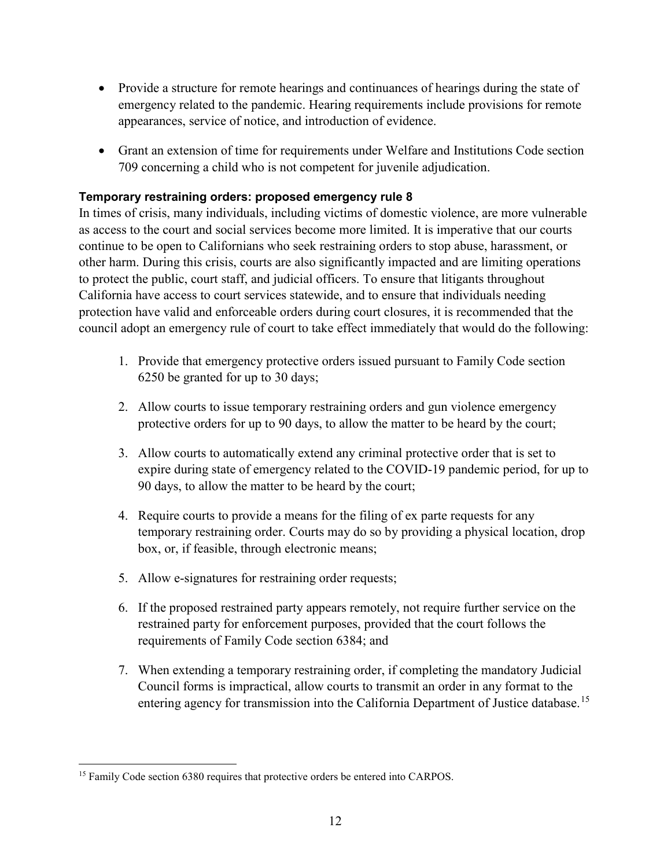- Provide a structure for remote hearings and continuances of hearings during the state of emergency related to the pandemic. Hearing requirements include provisions for remote appearances, service of notice, and introduction of evidence.
- Grant an extension of time for requirements under Welfare and Institutions Code section 709 concerning a child who is not competent for juvenile adjudication.

## **Temporary restraining orders: proposed emergency rule 8**

In times of crisis, many individuals, including victims of domestic violence, are more vulnerable as access to the court and social services become more limited. It is imperative that our courts continue to be open to Californians who seek restraining orders to stop abuse, harassment, or other harm. During this crisis, courts are also significantly impacted and are limiting operations to protect the public, court staff, and judicial officers. To ensure that litigants throughout California have access to court services statewide, and to ensure that individuals needing protection have valid and enforceable orders during court closures, it is recommended that the council adopt an emergency rule of court to take effect immediately that would do the following:

- 1. Provide that emergency protective orders issued pursuant to Family Code section 6250 be granted for up to 30 days;
- 2. Allow courts to issue temporary restraining orders and gun violence emergency protective orders for up to 90 days, to allow the matter to be heard by the court;
- 3. Allow courts to automatically extend any criminal protective order that is set to expire during state of emergency related to the COVID-19 pandemic period, for up to 90 days, to allow the matter to be heard by the court;
- 4. Require courts to provide a means for the filing of ex parte requests for any temporary restraining order. Courts may do so by providing a physical location, drop box, or, if feasible, through electronic means;
- 5. Allow e-signatures for restraining order requests;
- 6. If the proposed restrained party appears remotely, not require further service on the restrained party for enforcement purposes, provided that the court follows the requirements of Family Code section 6384; and
- 7. When extending a temporary restraining order, if completing the mandatory Judicial Council forms is impractical, allow courts to transmit an order in any format to the entering agency for transmission into the California Department of Justice database.<sup>[15](#page-11-0)</sup>

<span id="page-11-0"></span><sup>&</sup>lt;sup>15</sup> Family Code section 6380 requires that protective orders be entered into CARPOS.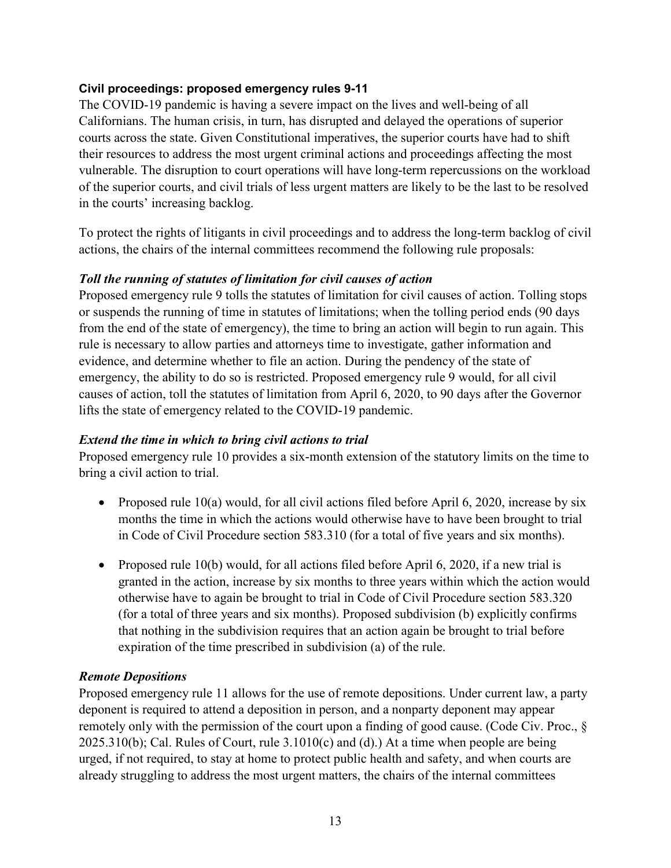# **Civil proceedings: proposed emergency rules 9-11**

The COVID-19 pandemic is having a severe impact on the lives and well-being of all Californians. The human crisis, in turn, has disrupted and delayed the operations of superior courts across the state. Given Constitutional imperatives, the superior courts have had to shift their resources to address the most urgent criminal actions and proceedings affecting the most vulnerable. The disruption to court operations will have long-term repercussions on the workload of the superior courts, and civil trials of less urgent matters are likely to be the last to be resolved in the courts' increasing backlog.

To protect the rights of litigants in civil proceedings and to address the long-term backlog of civil actions, the chairs of the internal committees recommend the following rule proposals:

# *Toll the running of statutes of limitation for civil causes of action*

Proposed emergency rule 9 tolls the statutes of limitation for civil causes of action. Tolling stops or suspends the running of time in statutes of limitations; when the tolling period ends (90 days from the end of the state of emergency), the time to bring an action will begin to run again. This rule is necessary to allow parties and attorneys time to investigate, gather information and evidence, and determine whether to file an action. During the pendency of the state of emergency, the ability to do so is restricted. Proposed emergency rule 9 would, for all civil causes of action, toll the statutes of limitation from April 6, 2020, to 90 days after the Governor lifts the state of emergency related to the COVID-19 pandemic.

# *Extend the time in which to bring civil actions to trial*

Proposed emergency rule 10 provides a six-month extension of the statutory limits on the time to bring a civil action to trial.

- Proposed rule 10(a) would, for all civil actions filed before April 6, 2020, increase by six months the time in which the actions would otherwise have to have been brought to trial in Code of Civil Procedure section 583.310 (for a total of five years and six months).
- Proposed rule 10(b) would, for all actions filed before April 6, 2020, if a new trial is granted in the action, increase by six months to three years within which the action would otherwise have to again be brought to trial in Code of Civil Procedure section 583.320 (for a total of three years and six months). Proposed subdivision (b) explicitly confirms that nothing in the subdivision requires that an action again be brought to trial before expiration of the time prescribed in subdivision (a) of the rule.

# *Remote Depositions*

Proposed emergency rule 11 allows for the use of remote depositions. Under current law, a party deponent is required to attend a deposition in person, and a nonparty deponent may appear remotely only with the permission of the court upon a finding of good cause. (Code Civ. Proc., § 2025.310(b); Cal. Rules of Court, rule 3.1010(c) and (d).) At a time when people are being urged, if not required, to stay at home to protect public health and safety, and when courts are already struggling to address the most urgent matters, the chairs of the internal committees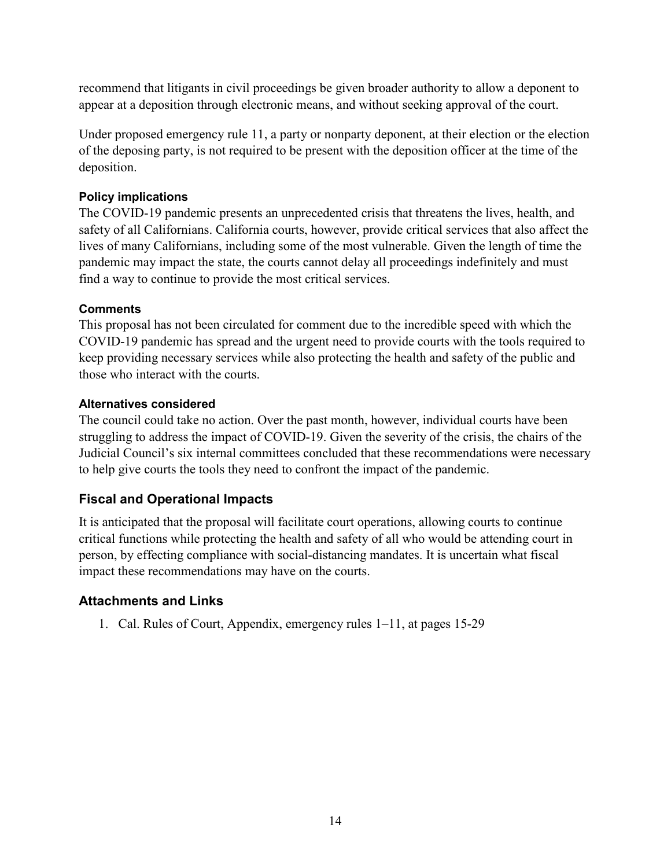recommend that litigants in civil proceedings be given broader authority to allow a deponent to appear at a deposition through electronic means, and without seeking approval of the court.

Under proposed emergency rule 11, a party or nonparty deponent, at their election or the election of the deposing party, is not required to be present with the deposition officer at the time of the deposition.

# **Policy implications**

The COVID-19 pandemic presents an unprecedented crisis that threatens the lives, health, and safety of all Californians. California courts, however, provide critical services that also affect the lives of many Californians, including some of the most vulnerable. Given the length of time the pandemic may impact the state, the courts cannot delay all proceedings indefinitely and must find a way to continue to provide the most critical services.

# **Comments**

This proposal has not been circulated for comment due to the incredible speed with which the COVID-19 pandemic has spread and the urgent need to provide courts with the tools required to keep providing necessary services while also protecting the health and safety of the public and those who interact with the courts.

# **Alternatives considered**

The council could take no action. Over the past month, however, individual courts have been struggling to address the impact of COVID-19. Given the severity of the crisis, the chairs of the Judicial Council's six internal committees concluded that these recommendations were necessary to help give courts the tools they need to confront the impact of the pandemic.

# **Fiscal and Operational Impacts**

It is anticipated that the proposal will facilitate court operations, allowing courts to continue critical functions while protecting the health and safety of all who would be attending court in person, by effecting compliance with social-distancing mandates. It is uncertain what fiscal impact these recommendations may have on the courts.

# **Attachments and Links**

1. Cal. Rules of Court, Appendix, emergency rules 1–11, at pages 15-29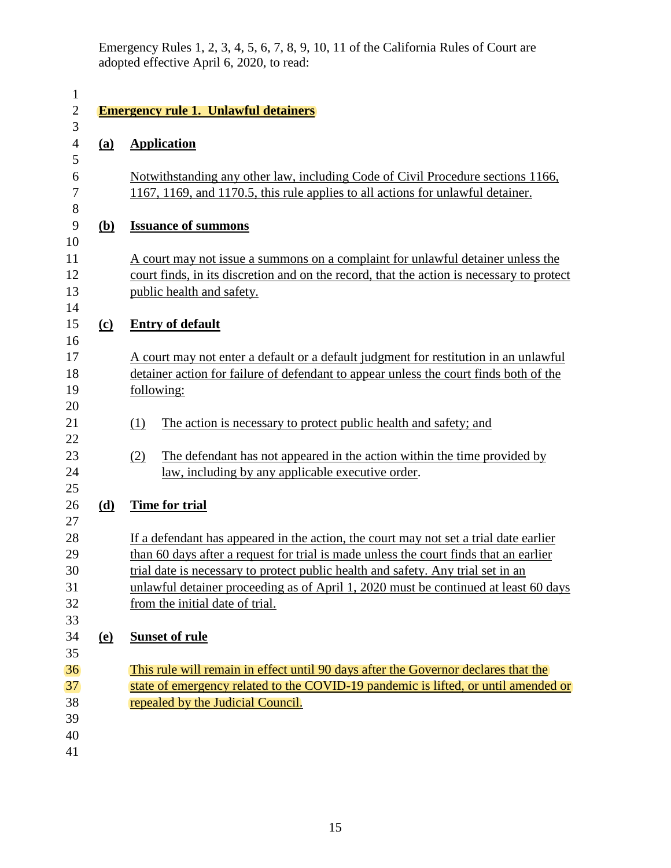Emergency Rules 1, 2, 3, 4, 5, 6, 7, 8, 9, 10, 11 of the California Rules of Court are adopted effective April 6, 2020, to read:

| $\mathbf{1}$<br>$\mathbf{2}$              | <b>Emergency rule 1. Unlawful detainers</b>                                                                                                                                                                                                                                                                                                                                                  |
|-------------------------------------------|----------------------------------------------------------------------------------------------------------------------------------------------------------------------------------------------------------------------------------------------------------------------------------------------------------------------------------------------------------------------------------------------|
| 3<br>$\overline{\mathcal{A}}$<br>(a)<br>5 | <b>Application</b>                                                                                                                                                                                                                                                                                                                                                                           |
|                                           | Notwithstanding any other law, including Code of Civil Procedure sections 1166,<br>1167, 1169, and 1170.5, this rule applies to all actions for unlawful detainer.                                                                                                                                                                                                                           |
| ( <b>b</b> )                              | <b>Issuance of summons</b>                                                                                                                                                                                                                                                                                                                                                                   |
|                                           | A court may not issue a summons on a complaint for unlawful detainer unless the<br>court finds, in its discretion and on the record, that the action is necessary to protect<br>public health and safety.                                                                                                                                                                                    |
| $\overline{c}$                            | <b>Entry of default</b>                                                                                                                                                                                                                                                                                                                                                                      |
|                                           | A court may not enter a default or a default judgment for restitution in an unlawful<br>detainer action for failure of defendant to appear unless the court finds both of the<br>following:                                                                                                                                                                                                  |
|                                           | The action is necessary to protect public health and safety; and<br>(1)                                                                                                                                                                                                                                                                                                                      |
|                                           | The defendant has not appeared in the action within the time provided by<br>(2)<br><u>law, including by any applicable executive order.</u>                                                                                                                                                                                                                                                  |
| (d)                                       | <b>Time for trial</b>                                                                                                                                                                                                                                                                                                                                                                        |
|                                           | If a defendant has appeared in the action, the court may not set a trial date earlier<br>than 60 days after a request for trial is made unless the court finds that an earlier<br>trial date is necessary to protect public health and safety. Any trial set in an<br>unlawful detainer proceeding as of April 1, 2020 must be continued at least 60 days<br>from the initial date of trial. |
| <u>(e)</u>                                | <b>Sunset of rule</b>                                                                                                                                                                                                                                                                                                                                                                        |
|                                           | This rule will remain in effect until 90 days after the Governor declares that the<br>state of emergency related to the COVID-19 pandemic is lifted, or until amended or<br>repealed by the Judicial Council.                                                                                                                                                                                |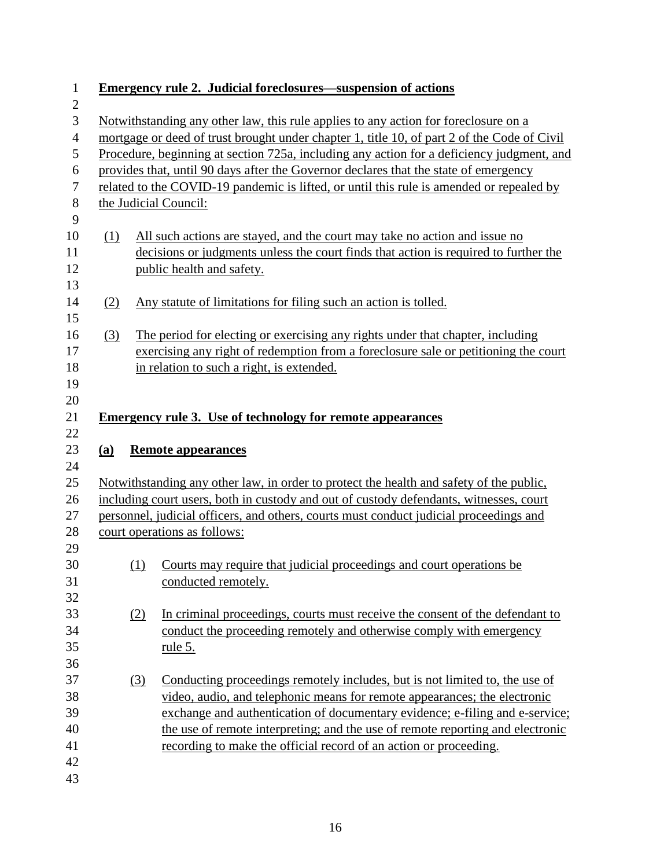| $\mathbf{1}$        |                                                                                                                                                                                    |                            | <b>Emergency rule 2. Judicial foreclosures—suspension of actions</b>                                                   |  |  |  |
|---------------------|------------------------------------------------------------------------------------------------------------------------------------------------------------------------------------|----------------------------|------------------------------------------------------------------------------------------------------------------------|--|--|--|
| $\overline{2}$      |                                                                                                                                                                                    |                            |                                                                                                                        |  |  |  |
| 3<br>$\overline{4}$ | Notwithstanding any other law, this rule applies to any action for foreclosure on a<br>mortgage or deed of trust brought under chapter 1, title 10, of part 2 of the Code of Civil |                            |                                                                                                                        |  |  |  |
| $\mathfrak s$       | Procedure, beginning at section 725a, including any action for a deficiency judgment, and                                                                                          |                            |                                                                                                                        |  |  |  |
| 6                   |                                                                                                                                                                                    |                            | provides that, until 90 days after the Governor declares that the state of emergency                                   |  |  |  |
| $\boldsymbol{7}$    |                                                                                                                                                                                    |                            | related to the COVID-19 pandemic is lifted, or until this rule is amended or repealed by                               |  |  |  |
| 8                   |                                                                                                                                                                                    |                            | the Judicial Council:                                                                                                  |  |  |  |
| 9                   |                                                                                                                                                                                    |                            |                                                                                                                        |  |  |  |
| 10                  | (1)                                                                                                                                                                                |                            | All such actions are stayed, and the court may take no action and issue no                                             |  |  |  |
| 11                  |                                                                                                                                                                                    |                            | decisions or judgments unless the court finds that action is required to further the                                   |  |  |  |
| 12                  |                                                                                                                                                                                    |                            | public health and safety.                                                                                              |  |  |  |
| 13                  |                                                                                                                                                                                    |                            |                                                                                                                        |  |  |  |
| 14                  | (2)                                                                                                                                                                                |                            | Any statute of limitations for filing such an action is tolled.                                                        |  |  |  |
| 15                  |                                                                                                                                                                                    |                            |                                                                                                                        |  |  |  |
| 16                  | (3)                                                                                                                                                                                |                            | The period for electing or exercising any rights under that chapter, including                                         |  |  |  |
| 17                  |                                                                                                                                                                                    |                            | exercising any right of redemption from a foreclosure sale or petitioning the court                                    |  |  |  |
| 18                  |                                                                                                                                                                                    |                            | in relation to such a right, is extended.                                                                              |  |  |  |
| 19                  |                                                                                                                                                                                    |                            |                                                                                                                        |  |  |  |
| 20                  |                                                                                                                                                                                    |                            |                                                                                                                        |  |  |  |
| 21                  |                                                                                                                                                                                    |                            | <b>Emergency rule 3. Use of technology for remote appearances</b>                                                      |  |  |  |
| 22                  |                                                                                                                                                                                    |                            |                                                                                                                        |  |  |  |
| 23                  | (a)                                                                                                                                                                                |                            | <b>Remote appearances</b>                                                                                              |  |  |  |
| 24                  |                                                                                                                                                                                    |                            |                                                                                                                        |  |  |  |
| 25                  |                                                                                                                                                                                    |                            | Notwithstanding any other law, in order to protect the health and safety of the public,                                |  |  |  |
| 26                  |                                                                                                                                                                                    |                            | including court users, both in custody and out of custody defendants, witnesses, court                                 |  |  |  |
| 27<br>28            |                                                                                                                                                                                    |                            | personnel, judicial officers, and others, courts must conduct judicial proceedings and<br>court operations as follows: |  |  |  |
| 29                  |                                                                                                                                                                                    |                            |                                                                                                                        |  |  |  |
| 30                  |                                                                                                                                                                                    | (1)                        | Courts may require that judicial proceedings and court operations be                                                   |  |  |  |
| 31                  |                                                                                                                                                                                    |                            | conducted remotely.                                                                                                    |  |  |  |
| 32                  |                                                                                                                                                                                    |                            |                                                                                                                        |  |  |  |
| 33                  |                                                                                                                                                                                    | (2)                        | In criminal proceedings, courts must receive the consent of the defendant to                                           |  |  |  |
| 34                  |                                                                                                                                                                                    |                            | conduct the proceeding remotely and otherwise comply with emergency                                                    |  |  |  |
| 35                  |                                                                                                                                                                                    |                            | <u>rule 5.</u>                                                                                                         |  |  |  |
| 36                  |                                                                                                                                                                                    |                            |                                                                                                                        |  |  |  |
| 37                  |                                                                                                                                                                                    | $\underline{\textbf{(3)}}$ | Conducting proceedings remotely includes, but is not limited to, the use of                                            |  |  |  |
| 38                  |                                                                                                                                                                                    |                            | video, audio, and telephonic means for remote appearances; the electronic                                              |  |  |  |
| 39                  |                                                                                                                                                                                    |                            | exchange and authentication of documentary evidence; e-filing and e-service;                                           |  |  |  |
| 40                  |                                                                                                                                                                                    |                            | the use of remote interpreting; and the use of remote reporting and electronic                                         |  |  |  |
| 41                  |                                                                                                                                                                                    |                            | recording to make the official record of an action or proceeding.                                                      |  |  |  |
| 42                  |                                                                                                                                                                                    |                            |                                                                                                                        |  |  |  |
| 43                  |                                                                                                                                                                                    |                            |                                                                                                                        |  |  |  |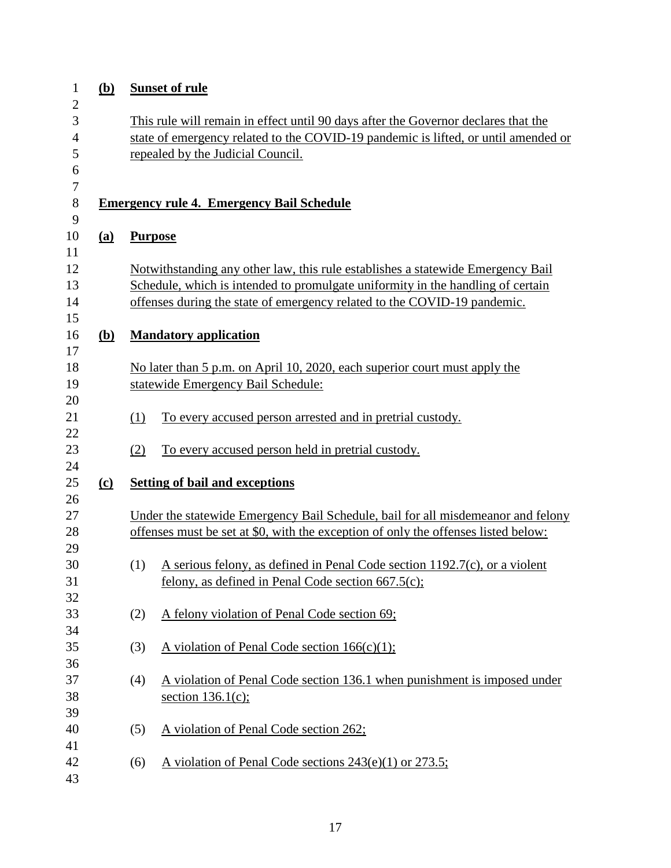| $\mathbf{1}$   | <u>(b)</u>   |                                                                                    | <b>Sunset of rule</b>                                                                                                                                                  |  |  |  |  |  |
|----------------|--------------|------------------------------------------------------------------------------------|------------------------------------------------------------------------------------------------------------------------------------------------------------------------|--|--|--|--|--|
| $\mathfrak{2}$ |              |                                                                                    |                                                                                                                                                                        |  |  |  |  |  |
| 3              |              | This rule will remain in effect until 90 days after the Governor declares that the |                                                                                                                                                                        |  |  |  |  |  |
| $\overline{4}$ |              | state of emergency related to the COVID-19 pandemic is lifted, or until amended or |                                                                                                                                                                        |  |  |  |  |  |
| 5              |              |                                                                                    | repealed by the Judicial Council.                                                                                                                                      |  |  |  |  |  |
| 6              |              |                                                                                    |                                                                                                                                                                        |  |  |  |  |  |
| $\tau$         |              |                                                                                    |                                                                                                                                                                        |  |  |  |  |  |
| $8\,$          |              |                                                                                    | <b>Emergency rule 4. Emergency Bail Schedule</b>                                                                                                                       |  |  |  |  |  |
| 9<br>10        | (a)          | <b>Purpose</b>                                                                     |                                                                                                                                                                        |  |  |  |  |  |
| 11             |              |                                                                                    |                                                                                                                                                                        |  |  |  |  |  |
| 12             |              |                                                                                    | Notwithstanding any other law, this rule establishes a statewide Emergency Bail                                                                                        |  |  |  |  |  |
| 13             |              |                                                                                    | Schedule, which is intended to promulgate uniformity in the handling of certain                                                                                        |  |  |  |  |  |
| 14             |              |                                                                                    | offenses during the state of emergency related to the COVID-19 pandemic.                                                                                               |  |  |  |  |  |
| 15             |              |                                                                                    |                                                                                                                                                                        |  |  |  |  |  |
| 16             | ( <b>b</b> ) |                                                                                    | <b>Mandatory application</b>                                                                                                                                           |  |  |  |  |  |
| 17             |              |                                                                                    |                                                                                                                                                                        |  |  |  |  |  |
| 18             |              |                                                                                    | No later than 5 p.m. on April 10, 2020, each superior court must apply the                                                                                             |  |  |  |  |  |
| 19             |              |                                                                                    | statewide Emergency Bail Schedule:                                                                                                                                     |  |  |  |  |  |
| 20             |              |                                                                                    |                                                                                                                                                                        |  |  |  |  |  |
| 21             |              | (1)                                                                                | To every accused person arrested and in pretrial custody.                                                                                                              |  |  |  |  |  |
| 22             |              |                                                                                    |                                                                                                                                                                        |  |  |  |  |  |
| 23             |              | (2)                                                                                | To every accused person held in pretrial custody.                                                                                                                      |  |  |  |  |  |
| 24             |              |                                                                                    |                                                                                                                                                                        |  |  |  |  |  |
| 25             | $\Omega$     |                                                                                    | <b>Setting of bail and exceptions</b>                                                                                                                                  |  |  |  |  |  |
| 26<br>27       |              |                                                                                    |                                                                                                                                                                        |  |  |  |  |  |
| 28             |              |                                                                                    | Under the statewide Emergency Bail Schedule, bail for all misdemeanor and felony<br>offenses must be set at \$0, with the exception of only the offenses listed below: |  |  |  |  |  |
| 29             |              |                                                                                    |                                                                                                                                                                        |  |  |  |  |  |
| 30             |              | (1)                                                                                | A serious felony, as defined in Penal Code section 1192.7(c), or a violent                                                                                             |  |  |  |  |  |
| 31             |              |                                                                                    | felony, as defined in Penal Code section $667.5(c)$ ;                                                                                                                  |  |  |  |  |  |
| 32             |              |                                                                                    |                                                                                                                                                                        |  |  |  |  |  |
| 33             |              | (2)                                                                                | A felony violation of Penal Code section 69;                                                                                                                           |  |  |  |  |  |
| 34             |              |                                                                                    |                                                                                                                                                                        |  |  |  |  |  |
| 35             |              | (3)                                                                                | A violation of Penal Code section $166(c)(1)$ ;                                                                                                                        |  |  |  |  |  |
| 36             |              |                                                                                    |                                                                                                                                                                        |  |  |  |  |  |
| 37             |              | (4)                                                                                | A violation of Penal Code section 136.1 when punishment is imposed under                                                                                               |  |  |  |  |  |
| 38             |              |                                                                                    | section $136.1(c)$ ;                                                                                                                                                   |  |  |  |  |  |
| 39             |              |                                                                                    |                                                                                                                                                                        |  |  |  |  |  |
| 40             |              | (5)                                                                                | A violation of Penal Code section 262;                                                                                                                                 |  |  |  |  |  |
| 41             |              |                                                                                    |                                                                                                                                                                        |  |  |  |  |  |
| 42             |              | (6)                                                                                | A violation of Penal Code sections $243(e)(1)$ or $273.5$ ;                                                                                                            |  |  |  |  |  |
| 43             |              |                                                                                    |                                                                                                                                                                        |  |  |  |  |  |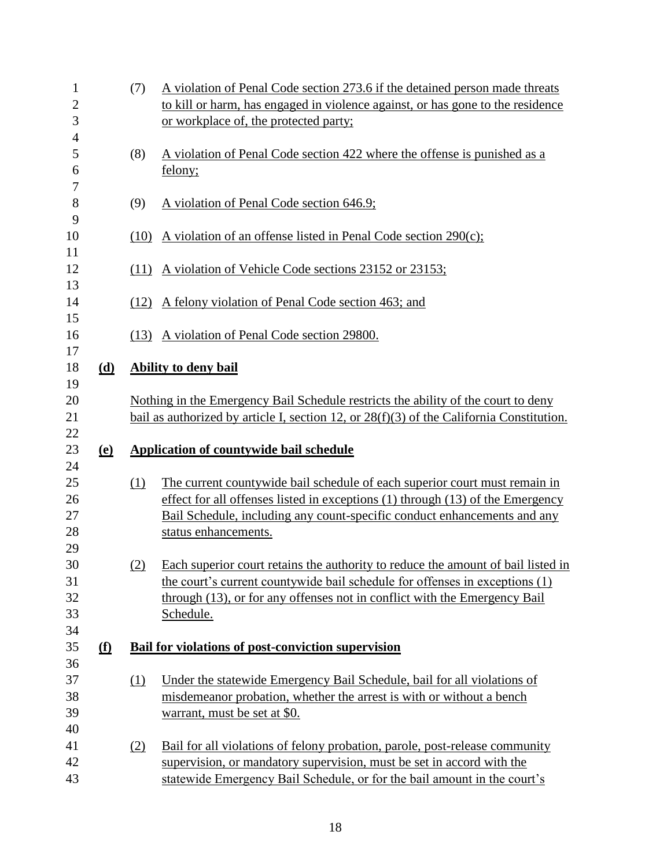| $\mathbf{1}$                     |            | (7) | A violation of Penal Code section 273.6 if the detained person made threats                                                                                                                                                                                      |
|----------------------------------|------------|-----|------------------------------------------------------------------------------------------------------------------------------------------------------------------------------------------------------------------------------------------------------------------|
| $\mathbf{2}$                     |            |     | to kill or harm, has engaged in violence against, or has gone to the residence                                                                                                                                                                                   |
| 3                                |            |     | or workplace of, the protected party;                                                                                                                                                                                                                            |
| $\overline{4}$<br>5<br>6         |            | (8) | A violation of Penal Code section 422 where the offense is punished as a<br>felony;                                                                                                                                                                              |
| $\tau$<br>8<br>9                 |            | (9) | A violation of Penal Code section 646.9;                                                                                                                                                                                                                         |
| 10<br>11                         |            |     | $(10)$ A violation of an offense listed in Penal Code section 290(c);                                                                                                                                                                                            |
| 12<br>13                         |            |     | (11) A violation of Vehicle Code sections 23152 or 23153;                                                                                                                                                                                                        |
| 14<br>15                         |            |     | (12) A felony violation of Penal Code section 463; and                                                                                                                                                                                                           |
| 16<br>17                         |            |     | (13) A violation of Penal Code section 29800.                                                                                                                                                                                                                    |
| 18                               | (d)        |     | <b>Ability to deny bail</b>                                                                                                                                                                                                                                      |
| 19                               |            |     |                                                                                                                                                                                                                                                                  |
| 20                               |            |     | Nothing in the Emergency Bail Schedule restricts the ability of the court to deny                                                                                                                                                                                |
| 21<br>22                         |            |     | bail as authorized by article I, section 12, or $28(f)(3)$ of the California Constitution.                                                                                                                                                                       |
| 23<br>24                         | <u>(e)</u> |     | <b>Application of countywide bail schedule</b>                                                                                                                                                                                                                   |
| 25<br>26<br>27<br>28             |            | (1) | The current countywide bail schedule of each superior court must remain in<br>effect for all offenses listed in exceptions (1) through (13) of the Emergency<br>Bail Schedule, including any count-specific conduct enhancements and any<br>status enhancements. |
| 29<br>30<br>31<br>32<br>33<br>34 |            | (2) | Each superior court retains the authority to reduce the amount of bail listed in<br>the court's current countywide bail schedule for offenses in exceptions (1)<br>through (13), or for any offenses not in conflict with the Emergency Bail<br>Schedule.        |
| 35                               | <u>(f)</u> |     | Bail for violations of post-conviction supervision                                                                                                                                                                                                               |
| 36                               |            |     |                                                                                                                                                                                                                                                                  |
| 37<br>38<br>39<br>40             |            | (1) | Under the statewide Emergency Bail Schedule, bail for all violations of<br>misdemeanor probation, whether the arrest is with or without a bench<br>warrant, must be set at \$0.                                                                                  |
| 41<br>42                         |            | (2) | Bail for all violations of felony probation, parole, post-release community                                                                                                                                                                                      |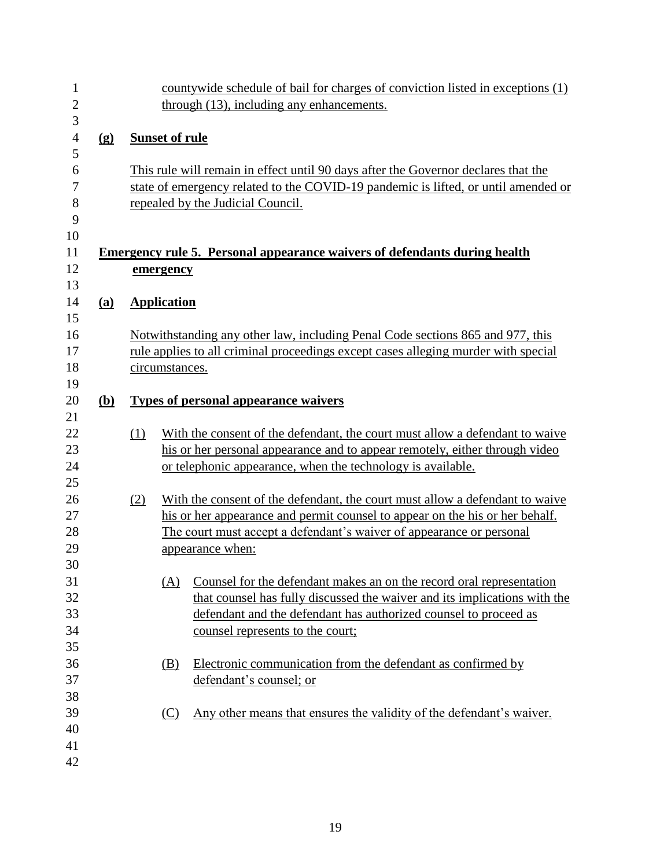| $\mathbf{1}$     |                             |     |                       | countywide schedule of bail for charges of conviction listed in exceptions (1)     |
|------------------|-----------------------------|-----|-----------------------|------------------------------------------------------------------------------------|
| $\mathbf{2}$     |                             |     |                       | through (13), including any enhancements.                                          |
| 3                |                             |     |                       |                                                                                    |
| $\overline{4}$   | $\left( \mathbf{g} \right)$ |     | <b>Sunset of rule</b> |                                                                                    |
| 5                |                             |     |                       |                                                                                    |
| 6                |                             |     |                       | This rule will remain in effect until 90 days after the Governor declares that the |
| $\boldsymbol{7}$ |                             |     |                       | state of emergency related to the COVID-19 pandemic is lifted, or until amended or |
| 8                |                             |     |                       | repealed by the Judicial Council.                                                  |
| 9                |                             |     |                       |                                                                                    |
| 10               |                             |     |                       |                                                                                    |
| 11               |                             |     |                       | <b>Emergency rule 5. Personal appearance waivers of defendants during health</b>   |
| 12               |                             |     | emergency             |                                                                                    |
| 13               |                             |     |                       |                                                                                    |
| 14               | (a)                         |     | <b>Application</b>    |                                                                                    |
| 15               |                             |     |                       |                                                                                    |
| 16               |                             |     |                       | Notwithstanding any other law, including Penal Code sections 865 and 977, this     |
| 17               |                             |     |                       | rule applies to all criminal proceedings except cases alleging murder with special |
| 18               |                             |     | circumstances.        |                                                                                    |
| 19               |                             |     |                       |                                                                                    |
| 20               | ( <b>b</b> )                |     |                       | <b>Types of personal appearance waivers</b>                                        |
| 21               |                             |     |                       |                                                                                    |
| 22               |                             | (1) |                       | With the consent of the defendant, the court must allow a defendant to waive       |
| 23               |                             |     |                       | his or her personal appearance and to appear remotely, either through video        |
| 24               |                             |     |                       | or telephonic appearance, when the technology is available.                        |
| 25               |                             |     |                       |                                                                                    |
| 26               |                             | (2) |                       | With the consent of the defendant, the court must allow a defendant to waive       |
| 27               |                             |     |                       | his or her appearance and permit counsel to appear on the his or her behalf.       |
| 28               |                             |     |                       | The court must accept a defendant's waiver of appearance or personal               |
| 29               |                             |     |                       | appearance when:                                                                   |
| 30               |                             |     |                       |                                                                                    |
| 31               |                             |     | <u>(A)</u>            | Counsel for the defendant makes an on the record oral representation               |
| 32               |                             |     |                       | that counsel has fully discussed the waiver and its implications with the          |
| 33               |                             |     |                       | defendant and the defendant has authorized counsel to proceed as                   |
| 34               |                             |     |                       | counsel represents to the court;                                                   |
| 35               |                             |     |                       |                                                                                    |
| 36               |                             |     | (B)                   | Electronic communication from the defendant as confirmed by                        |
| 37               |                             |     |                       | defendant's counsel; or                                                            |
| 38               |                             |     |                       |                                                                                    |
| 39               |                             |     | (C)                   | Any other means that ensures the validity of the defendant's waiver.               |
| 40               |                             |     |                       |                                                                                    |
| 41               |                             |     |                       |                                                                                    |
|                  |                             |     |                       |                                                                                    |
| 42               |                             |     |                       |                                                                                    |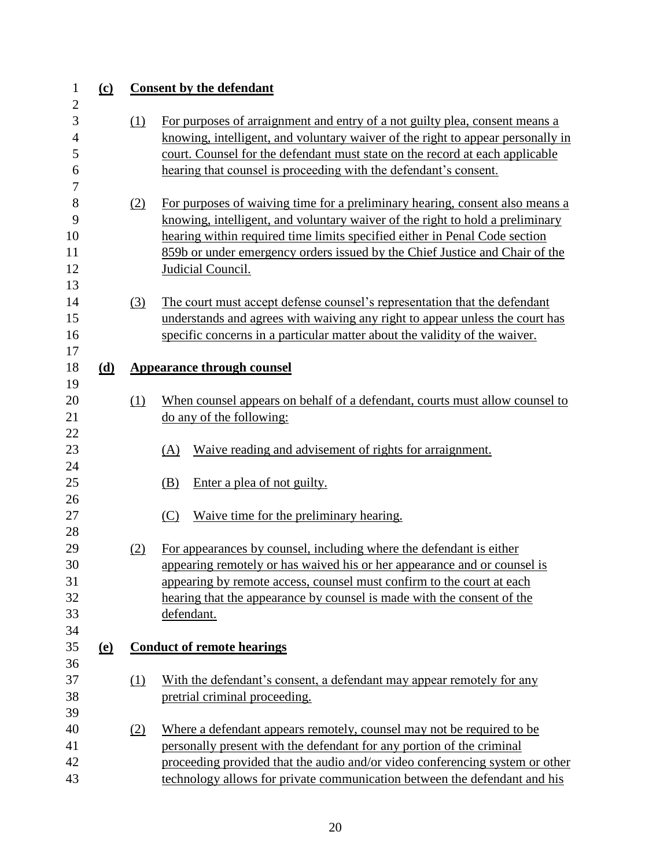| $\mathbf{1}$      | $\left( \underline{\mathbf{c}} \right)$ |                   | <b>Consent by the defendant</b>                                                                                                                |
|-------------------|-----------------------------------------|-------------------|------------------------------------------------------------------------------------------------------------------------------------------------|
| $\mathbf{2}$<br>3 |                                         | (1)               | For purposes of arraignment and entry of a not guilty plea, consent means a                                                                    |
| $\overline{4}$    |                                         |                   | knowing, intelligent, and voluntary waiver of the right to appear personally in                                                                |
| 5                 |                                         |                   | court. Counsel for the defendant must state on the record at each applicable                                                                   |
| 6                 |                                         |                   | hearing that counsel is proceeding with the defendant's consent.                                                                               |
| 7                 |                                         |                   |                                                                                                                                                |
| 8                 |                                         | (2)               | For purposes of waiving time for a preliminary hearing, consent also means a                                                                   |
| 9                 |                                         |                   | knowing, intelligent, and voluntary waiver of the right to hold a preliminary                                                                  |
| 10                |                                         |                   | hearing within required time limits specified either in Penal Code section                                                                     |
| 11                |                                         |                   | 859b or under emergency orders issued by the Chief Justice and Chair of the                                                                    |
| 12<br>13          |                                         |                   | Judicial Council.                                                                                                                              |
| 14                |                                         | $\left( 3\right)$ | The court must accept defense counsel's representation that the defendant                                                                      |
| 15                |                                         |                   | understands and agrees with waiving any right to appear unless the court has                                                                   |
| 16                |                                         |                   | specific concerns in a particular matter about the validity of the waiver.                                                                     |
| 17                |                                         |                   |                                                                                                                                                |
| 18                | (d)                                     |                   | <b>Appearance through counsel</b>                                                                                                              |
| 19                |                                         |                   |                                                                                                                                                |
| 20                |                                         | (1)               | When counsel appears on behalf of a defendant, courts must allow counsel to                                                                    |
| 21                |                                         |                   | do any of the following:                                                                                                                       |
| 22                |                                         |                   |                                                                                                                                                |
| 23                |                                         |                   | Waive reading and advisement of rights for arraignment.<br>(A)                                                                                 |
| 24<br>25          |                                         |                   | (B)                                                                                                                                            |
| 26                |                                         |                   | Enter a plea of not guilty.                                                                                                                    |
| 27                |                                         |                   | Waive time for the preliminary hearing.<br>(C)                                                                                                 |
| 28                |                                         |                   |                                                                                                                                                |
| 29                |                                         | (2)               | For appearances by counsel, including where the defendant is either                                                                            |
| 30                |                                         |                   | appearing remotely or has waived his or her appearance and or counsel is                                                                       |
| 31                |                                         |                   | appearing by remote access, counsel must confirm to the court at each                                                                          |
| 32                |                                         |                   | hearing that the appearance by counsel is made with the consent of the                                                                         |
| 33                |                                         |                   | defendant.                                                                                                                                     |
| 34                |                                         |                   |                                                                                                                                                |
| 35                | (e)                                     |                   | <b>Conduct of remote hearings</b>                                                                                                              |
| 36                |                                         |                   |                                                                                                                                                |
| 37                |                                         | $\Omega$          | With the defendant's consent, a defendant may appear remotely for any                                                                          |
| 38                |                                         |                   | pretrial criminal proceeding.                                                                                                                  |
| 39<br>40          |                                         |                   |                                                                                                                                                |
| 41                |                                         | (2)               | Where a defendant appears remotely, counsel may not be required to be<br>personally present with the defendant for any portion of the criminal |
| 42                |                                         |                   | proceeding provided that the audio and/or video conferencing system or other                                                                   |
| 43                |                                         |                   | technology allows for private communication between the defendant and his                                                                      |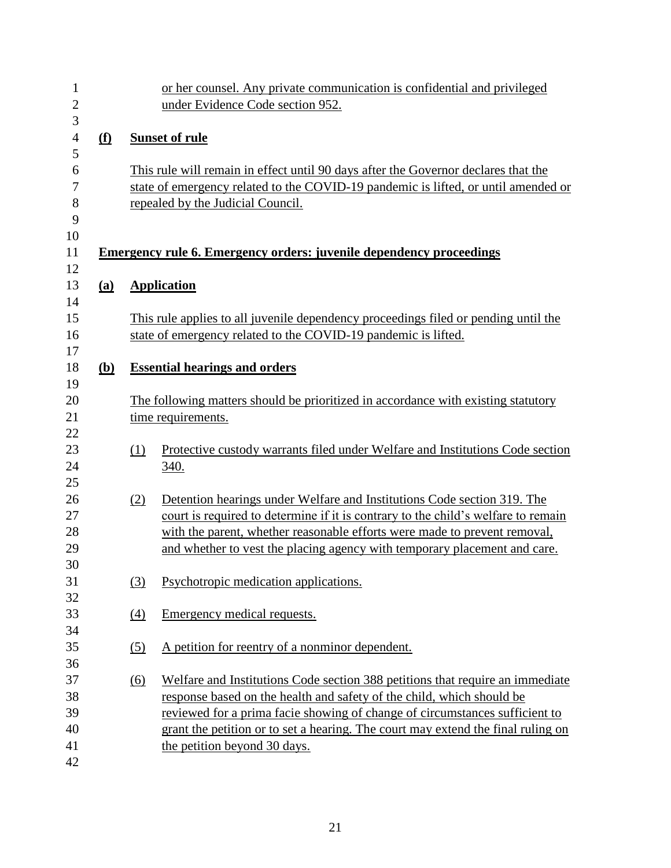| $\mathbf{1}$     |              |                  | or her counsel. Any private communication is confidential and privileged            |
|------------------|--------------|------------------|-------------------------------------------------------------------------------------|
| $\mathbf{2}$     |              |                  | under Evidence Code section 952.                                                    |
| 3                |              |                  |                                                                                     |
| $\overline{4}$   | <u>(f)</u>   |                  | <b>Sunset of rule</b>                                                               |
| 5                |              |                  |                                                                                     |
| 6                |              |                  | This rule will remain in effect until 90 days after the Governor declares that the  |
| $\boldsymbol{7}$ |              |                  | state of emergency related to the COVID-19 pandemic is lifted, or until amended or  |
| 8                |              |                  | repealed by the Judicial Council.                                                   |
| 9                |              |                  |                                                                                     |
| 10               |              |                  |                                                                                     |
| 11               |              |                  | <b>Emergency rule 6. Emergency orders: juvenile dependency proceedings</b>          |
| 12               |              |                  |                                                                                     |
| 13               | (a)          |                  | <b>Application</b>                                                                  |
| 14               |              |                  |                                                                                     |
| 15               |              |                  | This rule applies to all juvenile dependency proceedings filed or pending until the |
| 16               |              |                  | state of emergency related to the COVID-19 pandemic is lifted.                      |
| 17               |              |                  |                                                                                     |
| 18               | ( <b>b</b> ) |                  | <b>Essential hearings and orders</b>                                                |
| 19               |              |                  |                                                                                     |
| 20               |              |                  | The following matters should be prioritized in accordance with existing statutory   |
| 21               |              |                  |                                                                                     |
| 22               |              |                  | time requirements.                                                                  |
|                  |              |                  |                                                                                     |
| 23               |              | (1)              | Protective custody warrants filed under Welfare and Institutions Code section       |
| 24               |              |                  | 340.                                                                                |
| 25               |              |                  |                                                                                     |
| 26               |              | (2)              | Detention hearings under Welfare and Institutions Code section 319. The             |
| 27               |              |                  | court is required to determine if it is contrary to the child's welfare to remain   |
| 28               |              |                  | with the parent, whether reasonable efforts were made to prevent removal,           |
| 29               |              |                  | and whether to vest the placing agency with temporary placement and care.           |
| 30               |              |                  |                                                                                     |
| 31               |              | (3)              | Psychotropic medication applications.                                               |
| 32               |              |                  |                                                                                     |
| 33               |              | $\left(4\right)$ | Emergency medical requests.                                                         |
| 34               |              |                  |                                                                                     |
| 35               |              | (5)              | A petition for reentry of a nonminor dependent.                                     |
| 36               |              |                  |                                                                                     |
| 37               |              | (6)              | Welfare and Institutions Code section 388 petitions that require an immediate       |
| 38               |              |                  | response based on the health and safety of the child, which should be               |
| 39               |              |                  | reviewed for a prima facie showing of change of circumstances sufficient to         |
| 40               |              |                  | grant the petition or to set a hearing. The court may extend the final ruling on    |
| 41               |              |                  | the petition beyond 30 days.                                                        |
| 42               |              |                  |                                                                                     |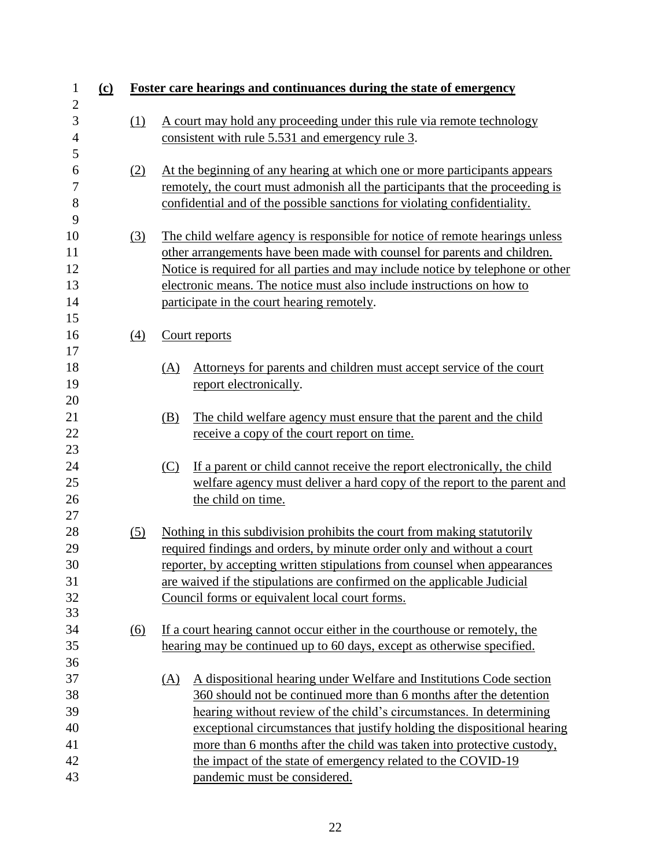| $\mathbf{1}$      | $\Omega$ |                   | <b>Foster care hearings and continuances during the state of emergency</b>        |
|-------------------|----------|-------------------|-----------------------------------------------------------------------------------|
| $\mathbf{2}$<br>3 |          | (1)               | A court may hold any proceeding under this rule via remote technology             |
| $\overline{4}$    |          |                   | consistent with rule 5.531 and emergency rule 3.                                  |
| 5                 |          |                   |                                                                                   |
| 6                 |          | (2)               | At the beginning of any hearing at which one or more participants appears         |
| 7                 |          |                   | remotely, the court must admonish all the participants that the proceeding is     |
| 8                 |          |                   | confidential and of the possible sanctions for violating confidentiality.         |
| 9                 |          |                   |                                                                                   |
| 10                |          | $\left(3\right)$  | The child welfare agency is responsible for notice of remote hearings unless      |
| 11                |          |                   | other arrangements have been made with counsel for parents and children.          |
| 12                |          |                   | Notice is required for all parties and may include notice by telephone or other   |
| 13                |          |                   | electronic means. The notice must also include instructions on how to             |
| 14                |          |                   | participate in the court hearing remotely.                                        |
| 15                |          |                   |                                                                                   |
| 16                |          | (4)               | Court reports                                                                     |
| 17<br>18          |          |                   | Attorneys for parents and children must accept service of the court<br>(A)        |
| 19                |          |                   | report electronically.                                                            |
| 20                |          |                   |                                                                                   |
| 21                |          |                   | The child welfare agency must ensure that the parent and the child<br>(B)         |
| 22                |          |                   | receive a copy of the court report on time.                                       |
| 23                |          |                   |                                                                                   |
| 24                |          |                   | If a parent or child cannot receive the report electronically, the child<br>(C)   |
| 25                |          |                   | welfare agency must deliver a hard copy of the report to the parent and           |
| 26                |          |                   | the child on time.                                                                |
| 27                |          |                   |                                                                                   |
| 28                |          | (5)               | Nothing in this subdivision prohibits the court from making statutorily           |
| 29                |          |                   | required findings and orders, by minute order only and without a court            |
| 30                |          |                   | reporter, by accepting written stipulations from counsel when appearances         |
| 31                |          |                   | are waived if the stipulations are confirmed on the applicable Judicial           |
| 32                |          |                   | Council forms or equivalent local court forms.                                    |
| 33                |          |                   |                                                                                   |
| 34<br>35          |          | $\underline{(6)}$ | If a court hearing cannot occur either in the courthouse or remotely, the         |
| 36                |          |                   | hearing may be continued up to 60 days, except as otherwise specified.            |
| 37                |          |                   | A dispositional hearing under Welfare and Institutions Code section<br><u>(A)</u> |
| 38                |          |                   | 360 should not be continued more than 6 months after the detention                |
| 39                |          |                   | hearing without review of the child's circumstances. In determining               |
| 40                |          |                   | exceptional circumstances that justify holding the dispositional hearing          |
| 41                |          |                   | more than 6 months after the child was taken into protective custody,             |
| 42                |          |                   | the impact of the state of emergency related to the COVID-19                      |
| 43                |          |                   | pandemic must be considered.                                                      |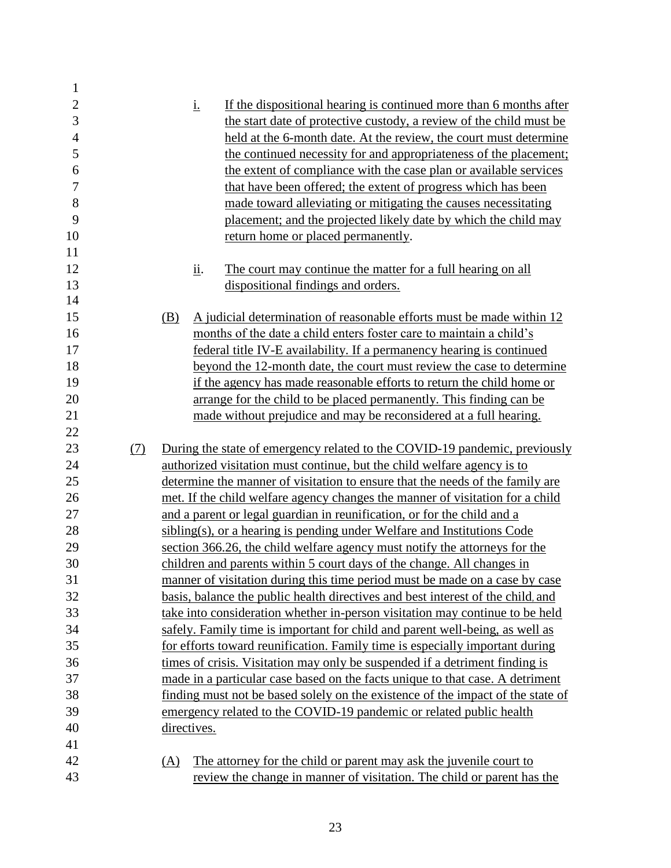| $\mathbf{1}$   |     |     |             |                                                                                                                                              |
|----------------|-----|-----|-------------|----------------------------------------------------------------------------------------------------------------------------------------------|
| $\overline{c}$ |     |     | <u>i.</u>   | If the dispositional hearing is continued more than 6 months after                                                                           |
| 3              |     |     |             | the start date of protective custody, a review of the child must be                                                                          |
| $\overline{4}$ |     |     |             | held at the 6-month date. At the review, the court must determine                                                                            |
| 5              |     |     |             | the continued necessity for and appropriateness of the placement;                                                                            |
| 6              |     |     |             | the extent of compliance with the case plan or available services                                                                            |
| $\overline{7}$ |     |     |             | that have been offered; the extent of progress which has been                                                                                |
| 8              |     |     |             | made toward alleviating or mitigating the causes necessitating                                                                               |
| 9              |     |     |             | placement; and the projected likely date by which the child may                                                                              |
| 10             |     |     |             | return home or placed permanently.                                                                                                           |
| 11             |     |     |             |                                                                                                                                              |
| 12             |     |     | ii.         | The court may continue the matter for a full hearing on all                                                                                  |
| 13             |     |     |             | dispositional findings and orders.                                                                                                           |
| 14             |     |     |             |                                                                                                                                              |
| 15             |     | (B) |             | A judicial determination of reasonable efforts must be made within 12                                                                        |
| 16             |     |     |             | months of the date a child enters foster care to maintain a child's                                                                          |
| 17             |     |     |             | federal title IV-E availability. If a permanency hearing is continued                                                                        |
| 18             |     |     |             | beyond the 12-month date, the court must review the case to determine                                                                        |
| 19             |     |     |             | if the agency has made reasonable efforts to return the child home or                                                                        |
| 20             |     |     |             | arrange for the child to be placed permanently. This finding can be                                                                          |
| 21             |     |     |             | made without prejudice and may be reconsidered at a full hearing.                                                                            |
| 22             |     |     |             |                                                                                                                                              |
|                |     |     |             |                                                                                                                                              |
| 23             | (7) |     |             | During the state of emergency related to the COVID-19 pandemic, previously                                                                   |
| 24             |     |     |             | authorized visitation must continue, but the child welfare agency is to                                                                      |
| 25             |     |     |             | determine the manner of visitation to ensure that the needs of the family are                                                                |
| 26             |     |     |             | met. If the child welfare agency changes the manner of visitation for a child                                                                |
| 27             |     |     |             | and a parent or legal guardian in reunification, or for the child and a                                                                      |
| 28             |     |     |             | sibling(s), or a hearing is pending under Welfare and Institutions Code                                                                      |
| 29             |     |     |             | section 366.26, the child welfare agency must notify the attorneys for the                                                                   |
| 30             |     |     |             | children and parents within 5 court days of the change. All changes in                                                                       |
| 31             |     |     |             | manner of visitation during this time period must be made on a case by case                                                                  |
| 32             |     |     |             | basis, balance the public health directives and best interest of the child, and                                                              |
| 33             |     |     |             | take into consideration whether in-person visitation may continue to be held                                                                 |
| 34             |     |     |             | safely. Family time is important for child and parent well-being, as well as                                                                 |
| 35             |     |     |             | for efforts toward reunification. Family time is especially important during                                                                 |
| 36             |     |     |             | times of crisis. Visitation may only be suspended if a detriment finding is                                                                  |
| 37             |     |     |             | made in a particular case based on the facts unique to that case. A detriment                                                                |
| 38             |     |     |             | finding must not be based solely on the existence of the impact of the state of                                                              |
| 39             |     |     |             | emergency related to the COVID-19 pandemic or related public health                                                                          |
| 40             |     |     | directives. |                                                                                                                                              |
| 41             |     |     |             |                                                                                                                                              |
| 42<br>43       |     | (A) |             | The attorney for the child or parent may ask the juvenile court to<br>review the change in manner of visitation. The child or parent has the |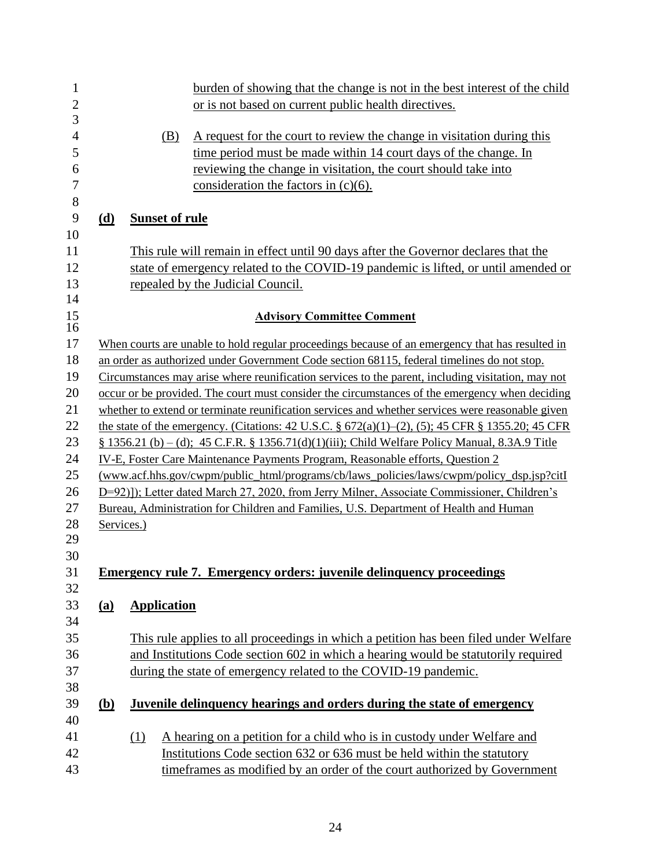| $\mathbf{1}$<br>$\overline{c}$ |                                                                                                      |                       | burden of showing that the change is not in the best interest of the child<br>or is not based on current public health directives. |  |  |  |  |
|--------------------------------|------------------------------------------------------------------------------------------------------|-----------------------|------------------------------------------------------------------------------------------------------------------------------------|--|--|--|--|
| 3                              |                                                                                                      |                       |                                                                                                                                    |  |  |  |  |
| $\overline{4}$                 |                                                                                                      | (B)                   | A request for the court to review the change in visitation during this                                                             |  |  |  |  |
| 5                              |                                                                                                      |                       | time period must be made within 14 court days of the change. In                                                                    |  |  |  |  |
| 6                              |                                                                                                      |                       | reviewing the change in visitation, the court should take into                                                                     |  |  |  |  |
| $\overline{7}$                 |                                                                                                      |                       | consideration the factors in $(c)(6)$ .                                                                                            |  |  |  |  |
| 8                              |                                                                                                      |                       |                                                                                                                                    |  |  |  |  |
| 9                              | (d)                                                                                                  | <b>Sunset of rule</b> |                                                                                                                                    |  |  |  |  |
| 10                             |                                                                                                      |                       |                                                                                                                                    |  |  |  |  |
| 11                             |                                                                                                      |                       | This rule will remain in effect until 90 days after the Governor declares that the                                                 |  |  |  |  |
| 12                             |                                                                                                      |                       | state of emergency related to the COVID-19 pandemic is lifted, or until amended or                                                 |  |  |  |  |
| 13                             |                                                                                                      |                       | repealed by the Judicial Council.                                                                                                  |  |  |  |  |
| 14                             |                                                                                                      |                       |                                                                                                                                    |  |  |  |  |
| 15<br>16                       |                                                                                                      |                       | <b>Advisory Committee Comment</b>                                                                                                  |  |  |  |  |
| 17                             |                                                                                                      |                       | When courts are unable to hold regular proceedings because of an emergency that has resulted in                                    |  |  |  |  |
| 18                             |                                                                                                      |                       | an order as authorized under Government Code section 68115, federal timelines do not stop.                                         |  |  |  |  |
| 19                             |                                                                                                      |                       | Circumstances may arise where reunification services to the parent, including visitation, may not                                  |  |  |  |  |
| 20                             |                                                                                                      |                       | occur or be provided. The court must consider the circumstances of the emergency when deciding                                     |  |  |  |  |
| 21                             |                                                                                                      |                       | whether to extend or terminate reunification services and whether services were reasonable given                                   |  |  |  |  |
| 22                             |                                                                                                      |                       | the state of the emergency. (Citations: 42 U.S.C. § 672(a)(1)–(2), (5); 45 CFR § 1355.20; 45 CFR                                   |  |  |  |  |
| 23                             | $\S$ 1356.21 (b) – (d); 45 C.F.R. $\S$ 1356.71(d)(1)(iii); Child Welfare Policy Manual, 8.3A.9 Title |                       |                                                                                                                                    |  |  |  |  |
| 24                             |                                                                                                      |                       | IV-E, Foster Care Maintenance Payments Program, Reasonable efforts, Question 2                                                     |  |  |  |  |
| 25                             |                                                                                                      |                       | (www.acf.hhs.gov/cwpm/public_html/programs/cb/laws_policies/laws/cwpm/policy_dsp.jsp?citI                                          |  |  |  |  |
| 26                             |                                                                                                      |                       | D=92)]); Letter dated March 27, 2020, from Jerry Milner, Associate Commissioner, Children's                                        |  |  |  |  |
| 27                             |                                                                                                      |                       | Bureau, Administration for Children and Families, U.S. Department of Health and Human                                              |  |  |  |  |
| 28                             | Services.)                                                                                           |                       |                                                                                                                                    |  |  |  |  |
| 29                             |                                                                                                      |                       |                                                                                                                                    |  |  |  |  |
| 30                             |                                                                                                      |                       |                                                                                                                                    |  |  |  |  |
| 31                             |                                                                                                      |                       | <b>Emergency rule 7. Emergency orders: juvenile delinguency proceedings</b>                                                        |  |  |  |  |
| 32                             |                                                                                                      |                       |                                                                                                                                    |  |  |  |  |
| 33                             | (a)                                                                                                  | <b>Application</b>    |                                                                                                                                    |  |  |  |  |
| 34                             |                                                                                                      |                       |                                                                                                                                    |  |  |  |  |
| 35                             |                                                                                                      |                       | This rule applies to all proceedings in which a petition has been filed under Welfare                                              |  |  |  |  |
| 36                             |                                                                                                      |                       | and Institutions Code section 602 in which a hearing would be statutorily required                                                 |  |  |  |  |
| 37                             |                                                                                                      |                       | during the state of emergency related to the COVID-19 pandemic.                                                                    |  |  |  |  |
| 38                             |                                                                                                      |                       |                                                                                                                                    |  |  |  |  |
| 39                             | <u>(b)</u>                                                                                           |                       | <b>Juvenile delinquency hearings and orders during the state of emergency</b>                                                      |  |  |  |  |
| 40                             |                                                                                                      |                       |                                                                                                                                    |  |  |  |  |
| 41                             |                                                                                                      | (1)                   | A hearing on a petition for a child who is in custody under Welfare and                                                            |  |  |  |  |
| 42                             |                                                                                                      |                       | Institutions Code section 632 or 636 must be held within the statutory                                                             |  |  |  |  |
| 43                             |                                                                                                      |                       | time frames as modified by an order of the court authorized by Government                                                          |  |  |  |  |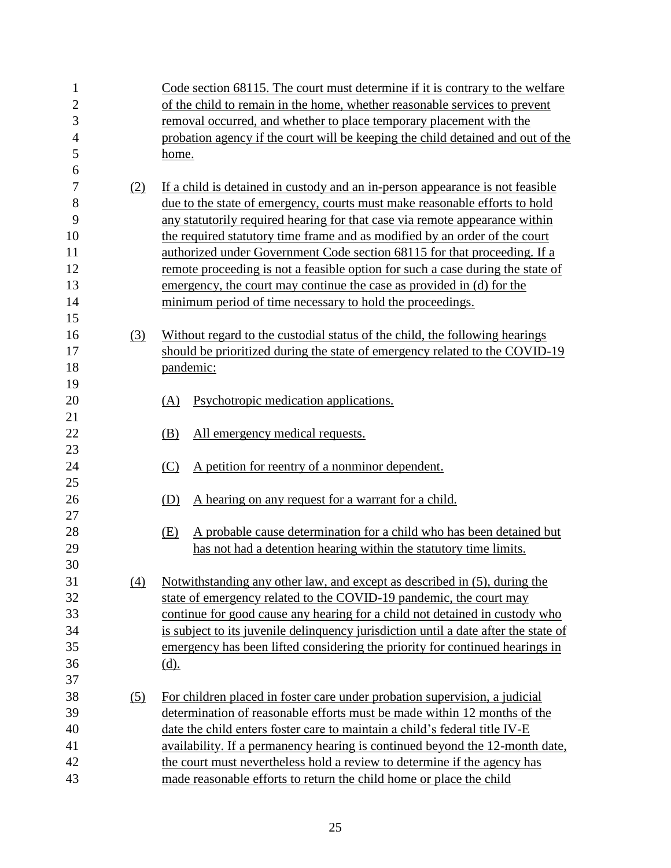| $\mathbf{1}$   |                   | Code section 68115. The court must determine if it is contrary to the welfare         |
|----------------|-------------------|---------------------------------------------------------------------------------------|
| $\mathbf{2}$   |                   | of the child to remain in the home, whether reasonable services to prevent            |
| 3              |                   | removal occurred, and whether to place temporary placement with the                   |
| $\overline{4}$ |                   | probation agency if the court will be keeping the child detained and out of the       |
| $\mathfrak s$  |                   | <u>home.</u>                                                                          |
| 6              |                   |                                                                                       |
| 7              | (2)               | If a child is detained in custody and an in-person appearance is not feasible         |
| 8              |                   | <u>due to the state of emergency, courts must make reasonable efforts to hold</u>     |
| 9              |                   | any statutorily required hearing for that case via remote appearance within           |
| 10             |                   | the required statutory time frame and as modified by an order of the court            |
| 11             |                   | authorized under Government Code section 68115 for that proceeding. If a              |
| 12             |                   | <u>remote</u> proceeding is not a feasible option for such a case during the state of |
| 13             |                   | emergency, the court may continue the case as provided in (d) for the                 |
| 14             |                   | minimum period of time necessary to hold the proceedings.                             |
| 15             |                   |                                                                                       |
| 16             | (3)               | Without regard to the custodial status of the child, the following hearings           |
| 17             |                   | should be prioritized during the state of emergency related to the COVID-19           |
| 18             |                   |                                                                                       |
| 19             |                   | pandemic:                                                                             |
|                |                   |                                                                                       |
| 20             |                   | Psychotropic medication applications.<br>(A)                                          |
| 21             |                   |                                                                                       |
| 22             |                   | (B)<br><u>All emergency medical requests.</u>                                         |
| 23             |                   |                                                                                       |
| 24             |                   | A petition for reentry of a nonminor dependent.<br>(C)                                |
| 25             |                   |                                                                                       |
| 26             |                   | (D)<br><u>A hearing on any request for a warrant for a child.</u>                     |
| 27             |                   |                                                                                       |
| 28             |                   | A probable cause determination for a child who has been detained but<br>(E)           |
| 29             |                   | has not had a detention hearing within the statutory time limits.                     |
| 30             |                   |                                                                                       |
| 31             | $\underline{(4)}$ | Notwithstanding any other law, and except as described in (5), during the             |
| 32             |                   | state of emergency related to the COVID-19 pandemic, the court may                    |
| 33             |                   | continue for good cause any hearing for a child not detained in custody who           |
| 34             |                   | is subject to its juvenile delinquency jurisdiction until a date after the state of   |
| 35             |                   | emergency has been lifted considering the priority for continued hearings in          |
| 36             |                   | $(d)$ .                                                                               |
| 37             |                   |                                                                                       |
| 38             | <u>(5)</u>        | For children placed in foster care under probation supervision, a judicial            |
| 39             |                   | determination of reasonable efforts must be made within 12 months of the              |
| 40             |                   | date the child enters foster care to maintain a child's federal title IV-E            |
| 41             |                   | availability. If a permanency hearing is continued beyond the 12-month date,          |
| 42             |                   | the court must nevertheless hold a review to determine if the agency has              |
| 43             |                   | made reasonable efforts to return the child home or place the child                   |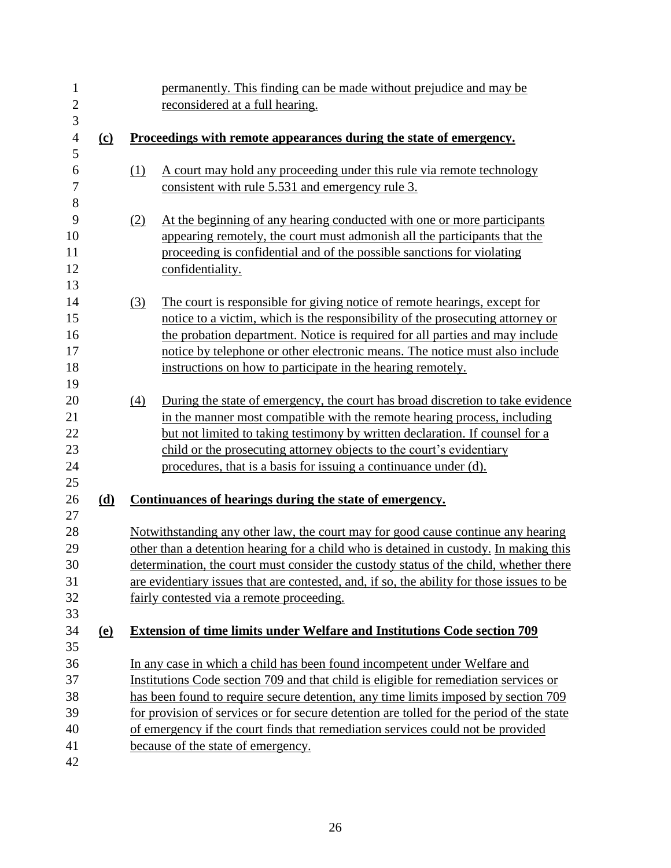| $\mathbf{1}$   |                |                   | permanently. This finding can be made without prejudice and may be                        |
|----------------|----------------|-------------------|-------------------------------------------------------------------------------------------|
| $\sqrt{2}$     |                |                   | reconsidered at a full hearing.                                                           |
| 3              |                |                   |                                                                                           |
| $\overline{4}$ | $\overline{c}$ |                   | <u>Proceedings with remote appearances during the state of emergency.</u>                 |
| 5              |                |                   |                                                                                           |
| 6              |                | (1)               | A court may hold any proceeding under this rule via remote technology                     |
| $\tau$         |                |                   | consistent with rule 5.531 and emergency rule 3.                                          |
| $8\,$          |                |                   |                                                                                           |
| 9              |                | (2)               | At the beginning of any hearing conducted with one or more participants                   |
| 10             |                |                   | appearing remotely, the court must admonish all the participants that the                 |
| 11             |                |                   | proceeding is confidential and of the possible sanctions for violating                    |
| 12             |                |                   | confidentiality.                                                                          |
| 13             |                |                   |                                                                                           |
| 14             |                | $\left( 3\right)$ | The court is responsible for giving notice of remote hearings, except for                 |
| 15             |                |                   | notice to a victim, which is the responsibility of the prosecuting attorney or            |
| 16             |                |                   | the probation department. Notice is required for all parties and may include              |
| 17             |                |                   | notice by telephone or other electronic means. The notice must also include               |
| 18             |                |                   | instructions on how to participate in the hearing remotely.                               |
| 19             |                |                   |                                                                                           |
| 20             |                | $\left(4\right)$  | During the state of emergency, the court has broad discretion to take evidence            |
| 21             |                |                   | in the manner most compatible with the remote hearing process, including                  |
| 22             |                |                   | but not limited to taking testimony by written declaration. If counsel for a              |
| 23             |                |                   | child or the prosecuting attorney objects to the court's evidentiary                      |
| 24             |                |                   | procedures, that is a basis for issuing a continuance under (d).                          |
| 25             |                |                   |                                                                                           |
| 26             | <u>(d)</u>     |                   | Continuances of hearings during the state of emergency.                                   |
| 27             |                |                   |                                                                                           |
| 28             |                |                   | Notwithstanding any other law, the court may for good cause continue any hearing          |
| 29             |                |                   | other than a detention hearing for a child who is detained in custody. In making this     |
| 30             |                |                   | determination, the court must consider the custody status of the child, whether there     |
| 31             |                |                   | are evidentiary issues that are contested, and, if so, the ability for those issues to be |
| 32             |                |                   | fairly contested via a remote proceeding.                                                 |
| 33             |                |                   |                                                                                           |
| 34<br>35       | <u>(e)</u>     |                   | <b>Extension of time limits under Welfare and Institutions Code section 709</b>           |
| 36             |                |                   | In any case in which a child has been found incompetent under Welfare and                 |
| 37             |                |                   | Institutions Code section 709 and that child is eligible for remediation services or      |
| 38             |                |                   | has been found to require secure detention, any time limits imposed by section 709        |
| 39             |                |                   | for provision of services or for secure detention are tolled for the period of the state  |
| 40             |                |                   | of emergency if the court finds that remediation services could not be provided           |
| 41             |                |                   | because of the state of emergency.                                                        |
| 42             |                |                   |                                                                                           |
|                |                |                   |                                                                                           |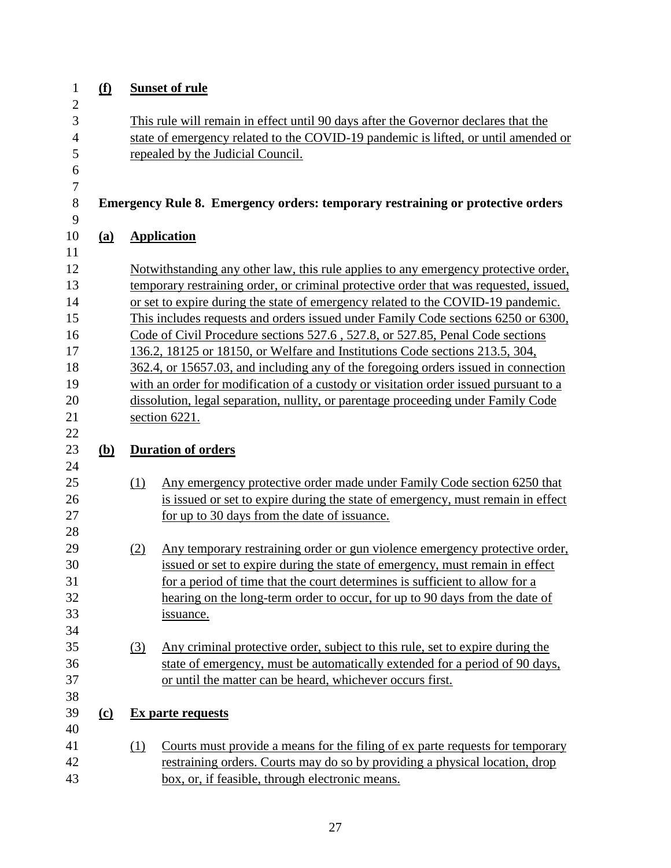| $\mathbf{1}$     | <u>(f)</u>                             |                   | <b>Sunset of rule</b>                                                                                                                                         |
|------------------|----------------------------------------|-------------------|---------------------------------------------------------------------------------------------------------------------------------------------------------------|
| $\overline{2}$   |                                        |                   |                                                                                                                                                               |
| 3                |                                        |                   | This rule will remain in effect until 90 days after the Governor declares that the                                                                            |
| $\overline{4}$   |                                        |                   | state of emergency related to the COVID-19 pandemic is lifted, or until amended or                                                                            |
| 5                |                                        |                   | repealed by the Judicial Council.                                                                                                                             |
| 6                |                                        |                   |                                                                                                                                                               |
| $\boldsymbol{7}$ |                                        |                   |                                                                                                                                                               |
| 8                |                                        |                   | Emergency Rule 8. Emergency orders: temporary restraining or protective orders                                                                                |
| 9                |                                        |                   |                                                                                                                                                               |
| 10               | (a)                                    |                   | <b>Application</b>                                                                                                                                            |
| 11               |                                        |                   |                                                                                                                                                               |
| 12               |                                        |                   | Notwithstanding any other law, this rule applies to any emergency protective order,                                                                           |
| 13               |                                        |                   | temporary restraining order, or criminal protective order that was requested, issued,                                                                         |
| 14               |                                        |                   | or set to expire during the state of emergency related to the COVID-19 pandemic.                                                                              |
| 15               |                                        |                   | This includes requests and orders issued under Family Code sections 6250 or 6300,                                                                             |
| 16<br>17         |                                        |                   | Code of Civil Procedure sections 527.6, 527.8, or 527.85, Penal Code sections<br>136.2, 18125 or 18150, or Welfare and Institutions Code sections 213.5, 304, |
| 18               |                                        |                   | 362.4, or 15657.03, and including any of the foregoing orders issued in connection                                                                            |
| 19               |                                        |                   | with an order for modification of a custody or visitation order issued pursuant to a                                                                          |
| 20               |                                        |                   | dissolution, legal separation, nullity, or parentage proceeding under Family Code                                                                             |
| 21               |                                        |                   | section 6221.                                                                                                                                                 |
| 22               |                                        |                   |                                                                                                                                                               |
| 23               | <u>(b)</u>                             |                   | <b>Duration of orders</b>                                                                                                                                     |
| 24               |                                        |                   |                                                                                                                                                               |
| 25               |                                        | (1)               | Any emergency protective order made under Family Code section 6250 that                                                                                       |
| 26               |                                        |                   | is issued or set to expire during the state of emergency, must remain in effect                                                                               |
| 27               |                                        |                   | for up to 30 days from the date of issuance.                                                                                                                  |
| 28               |                                        |                   |                                                                                                                                                               |
| 29               |                                        | (2)               | Any temporary restraining order or gun violence emergency protective order,                                                                                   |
| 30               |                                        |                   | issued or set to expire during the state of emergency, must remain in effect                                                                                  |
| 31               |                                        |                   | for a period of time that the court determines is sufficient to allow for a                                                                                   |
| 32               |                                        |                   | hearing on the long-term order to occur, for up to 90 days from the date of                                                                                   |
| 33               |                                        |                   | <i>issuance.</i>                                                                                                                                              |
| 34               |                                        |                   |                                                                                                                                                               |
| 35               |                                        | $\left( 3\right)$ | Any criminal protective order, subject to this rule, set to expire during the                                                                                 |
| 36               |                                        |                   | state of emergency, must be automatically extended for a period of 90 days,                                                                                   |
| 37               |                                        |                   | or until the matter can be heard, whichever occurs first.                                                                                                     |
| 38               |                                        |                   |                                                                                                                                                               |
| 39               | $\left( \underline{\mathbf{c}}\right)$ |                   | <b>Ex parte requests</b>                                                                                                                                      |
| 40               |                                        |                   |                                                                                                                                                               |
| 41               |                                        | (1)               | Courts must provide a means for the filing of ex parte requests for temporary                                                                                 |
| 42               |                                        |                   | restraining orders. Courts may do so by providing a physical location, drop                                                                                   |
| 43               |                                        |                   | box, or, if feasible, through electronic means.                                                                                                               |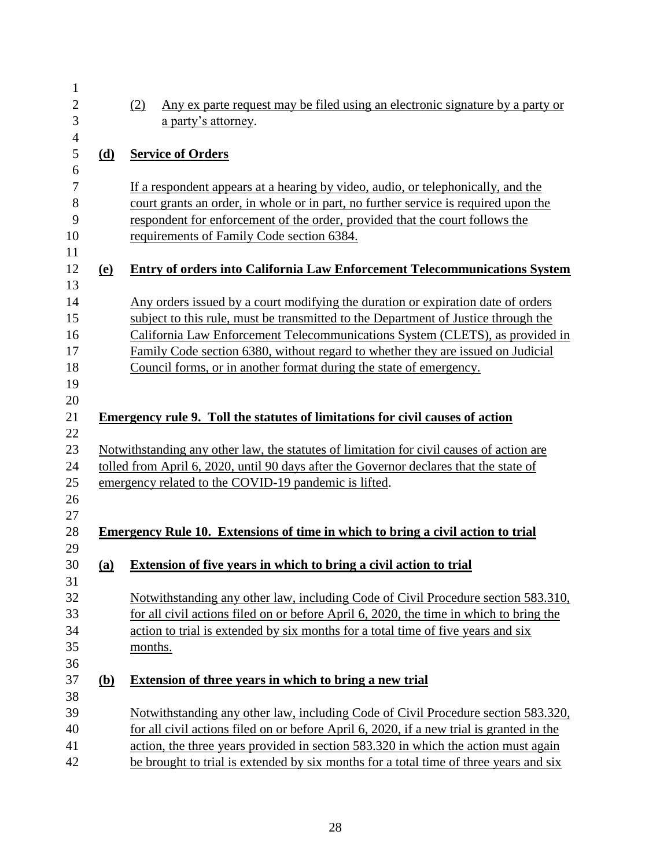| $\mathbf{1}$   |              |                                                                                          |  |  |  |
|----------------|--------------|------------------------------------------------------------------------------------------|--|--|--|
| $\overline{c}$ |              | Any ex parte request may be filed using an electronic signature by a party or<br>(2)     |  |  |  |
| 3              |              | a party's attorney.                                                                      |  |  |  |
| $\overline{4}$ |              |                                                                                          |  |  |  |
| 5              | (d)          | <b>Service of Orders</b>                                                                 |  |  |  |
| 6              |              |                                                                                          |  |  |  |
| 7              |              | If a respondent appears at a hearing by video, audio, or telephonically, and the         |  |  |  |
| 8              |              | court grants an order, in whole or in part, no further service is required upon the      |  |  |  |
| 9              |              | respondent for enforcement of the order, provided that the court follows the             |  |  |  |
| 10<br>11       |              | requirements of Family Code section 6384.                                                |  |  |  |
| 12             | (e)          | <b>Entry of orders into California Law Enforcement Telecommunications System</b>         |  |  |  |
| 13             |              |                                                                                          |  |  |  |
| 14             |              | Any orders issued by a court modifying the duration or expiration date of orders         |  |  |  |
| 15             |              | subject to this rule, must be transmitted to the Department of Justice through the       |  |  |  |
| 16             |              | California Law Enforcement Telecommunications System (CLETS), as provided in             |  |  |  |
| 17             |              | Family Code section 6380, without regard to whether they are issued on Judicial          |  |  |  |
| 18             |              | Council forms, or in another format during the state of emergency.                       |  |  |  |
| 19             |              |                                                                                          |  |  |  |
| 20             |              |                                                                                          |  |  |  |
| 21             |              | <b>Emergency rule 9. Toll the statutes of limitations for civil causes of action</b>     |  |  |  |
| 22             |              |                                                                                          |  |  |  |
| 23             |              | Notwithstanding any other law, the statutes of limitation for civil causes of action are |  |  |  |
| 24             |              | tolled from April 6, 2020, until 90 days after the Governor declares that the state of   |  |  |  |
| 25             |              | emergency related to the COVID-19 pandemic is lifted.                                    |  |  |  |
| 26             |              |                                                                                          |  |  |  |
| 27             |              |                                                                                          |  |  |  |
| 28             |              | <b>Emergency Rule 10. Extensions of time in which to bring a civil action to trial</b>   |  |  |  |
| 29             |              |                                                                                          |  |  |  |
| 30<br>31       | (a)          | <b>Extension of five years in which to bring a civil action to trial</b>                 |  |  |  |
| 32             |              | Notwithstanding any other law, including Code of Civil Procedure section 583.310,        |  |  |  |
| 33             |              | for all civil actions filed on or before April 6, 2020, the time in which to bring the   |  |  |  |
| 34             |              | action to trial is extended by six months for a total time of five years and six         |  |  |  |
| 35             |              | months.                                                                                  |  |  |  |
| 36             |              |                                                                                          |  |  |  |
| 37             | ( <b>b</b> ) | Extension of three years in which to bring a new trial                                   |  |  |  |
| 38             |              |                                                                                          |  |  |  |
| 39             |              | Notwithstanding any other law, including Code of Civil Procedure section 583.320,        |  |  |  |
| 40             |              | for all civil actions filed on or before April 6, 2020, if a new trial is granted in the |  |  |  |
| 41             |              | action, the three years provided in section 583.320 in which the action must again       |  |  |  |
| 42             |              | be brought to trial is extended by six months for a total time of three years and six    |  |  |  |